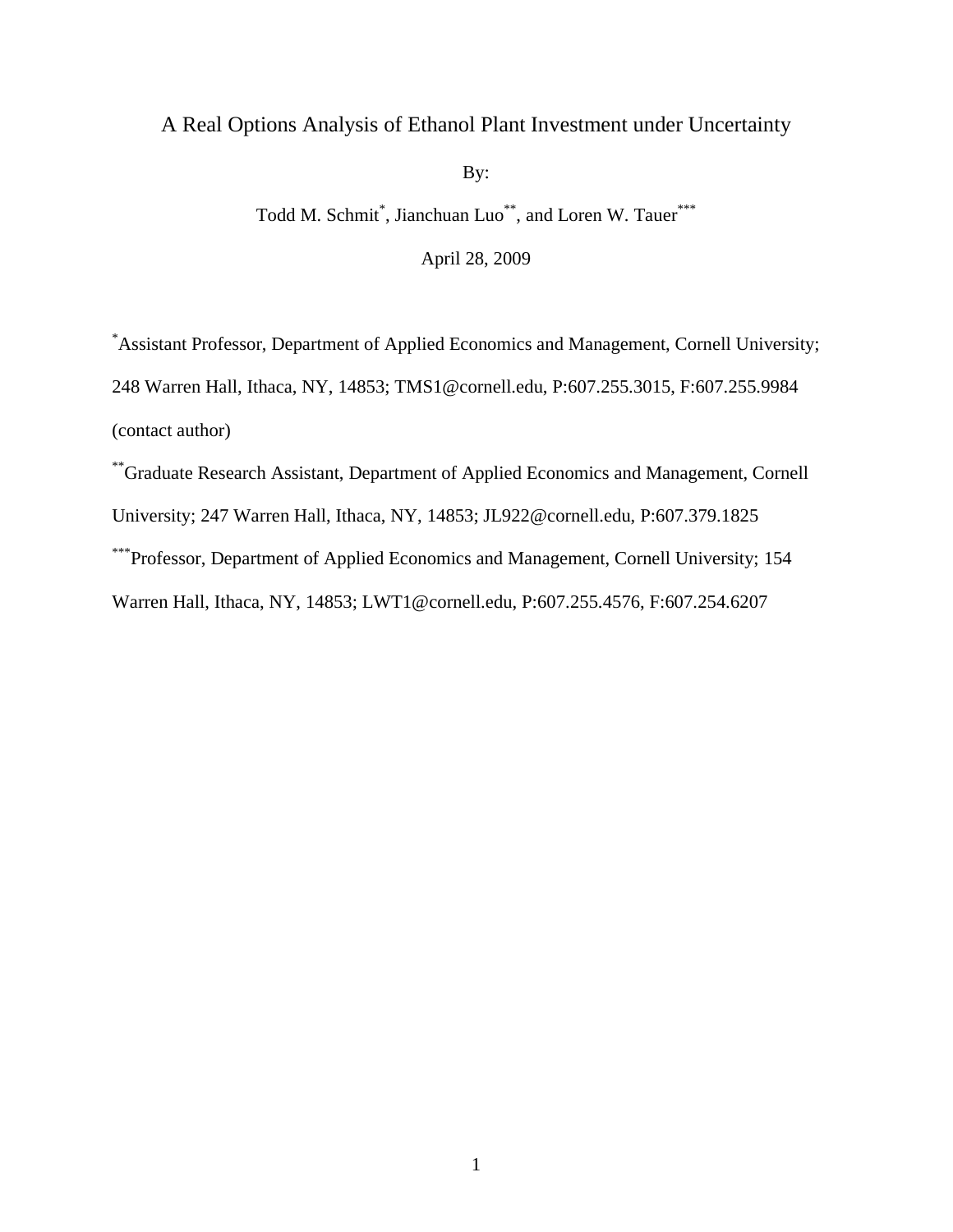# A Real Options Analysis of Ethanol Plant Investment under Uncertainty

By:

Todd M. Schmit<sup>\*</sup>, Jianchuan Luo<sup>\*\*</sup>, and Loren W. Tauer<sup>\*\*\*</sup>

April 28, 2009

\*Assistant Professor, Department of Applied Economics and Management, Cornell University; 248 Warren Hall, Ithaca, NY, 14853; TMS1@cornell.edu, P:607.255.3015, F:607.255.9984 (contact author)

\*\*Graduate Research Assistant, Department of Applied Economics and Management, Cornell University; 247 Warren Hall, Ithaca, NY, 14853; JL922@cornell.edu, P:607.379.1825 \*\*\*Professor, Department of Applied Economics and Management, Cornell University; 154 Warren Hall, Ithaca, NY, 14853; LWT1@cornell.edu, P:607.255.4576, F:607.254.6207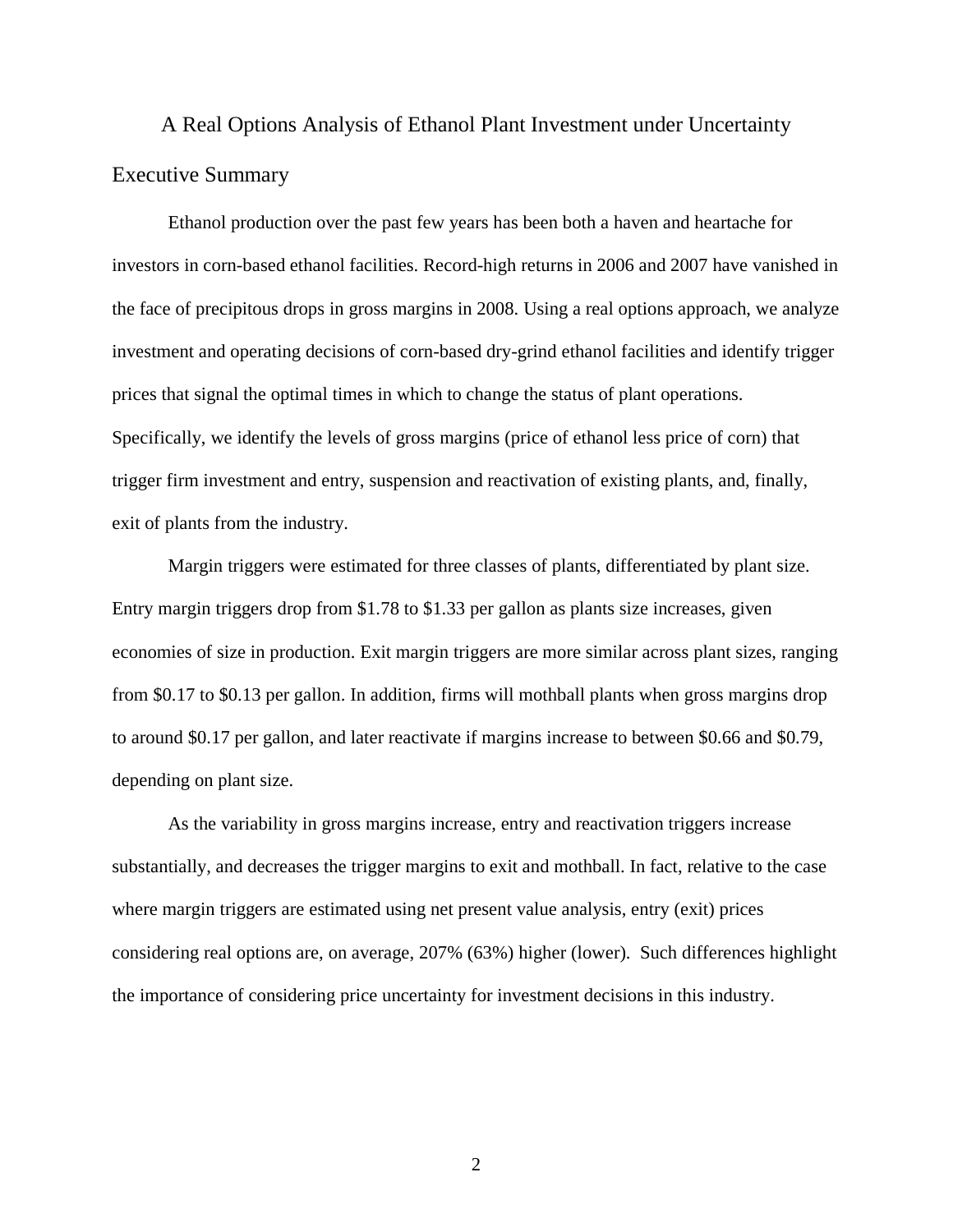A Real Options Analysis of Ethanol Plant Investment under Uncertainty Executive Summary

Ethanol production over the past few years has been both a haven and heartache for investors in corn-based ethanol facilities. Record-high returns in 2006 and 2007 have vanished in the face of precipitous drops in gross margins in 2008. Using a real options approach, we analyze investment and operating decisions of corn-based dry-grind ethanol facilities and identify trigger prices that signal the optimal times in which to change the status of plant operations. Specifically, we identify the levels of gross margins (price of ethanol less price of corn) that trigger firm investment and entry, suspension and reactivation of existing plants, and, finally, exit of plants from the industry.

Margin triggers were estimated for three classes of plants, differentiated by plant size. Entry margin triggers drop from \$1.78 to \$1.33 per gallon as plants size increases, given economies of size in production. Exit margin triggers are more similar across plant sizes, ranging from \$0.17 to \$0.13 per gallon. In addition, firms will mothball plants when gross margins drop to around \$0.17 per gallon, and later reactivate if margins increase to between \$0.66 and \$0.79, depending on plant size.

As the variability in gross margins increase, entry and reactivation triggers increase substantially, and decreases the trigger margins to exit and mothball. In fact, relative to the case where margin triggers are estimated using net present value analysis, entry (exit) prices considering real options are, on average, 207% (63%) higher (lower). Such differences highlight the importance of considering price uncertainty for investment decisions in this industry.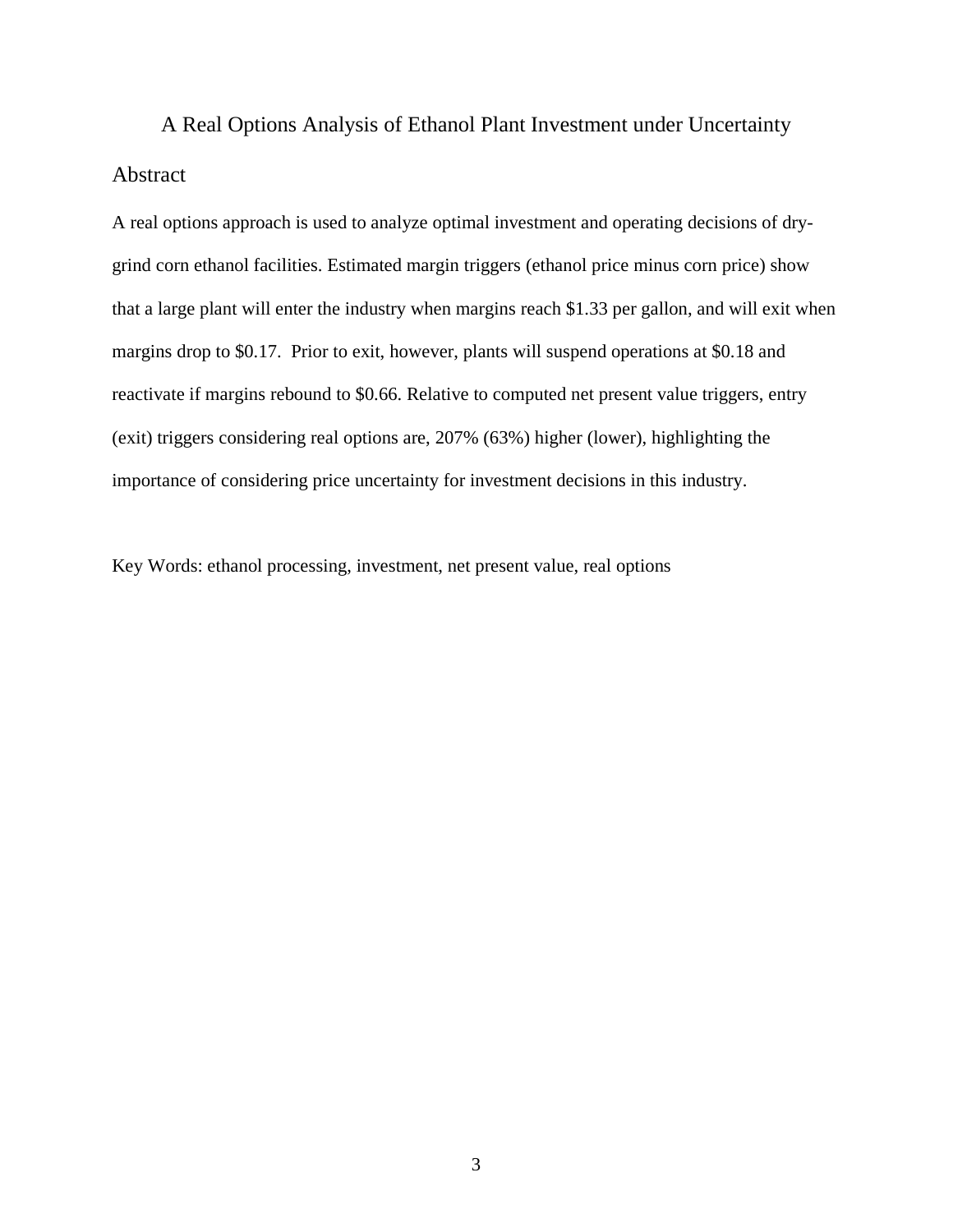A Real Options Analysis of Ethanol Plant Investment under Uncertainty Abstract

A real options approach is used to analyze optimal investment and operating decisions of drygrind corn ethanol facilities. Estimated margin triggers (ethanol price minus corn price) show that a large plant will enter the industry when margins reach \$1.33 per gallon, and will exit when margins drop to \$0.17. Prior to exit, however, plants will suspend operations at \$0.18 and reactivate if margins rebound to \$0.66. Relative to computed net present value triggers, entry (exit) triggers considering real options are, 207% (63%) higher (lower), highlighting the importance of considering price uncertainty for investment decisions in this industry.

Key Words: ethanol processing, investment, net present value, real options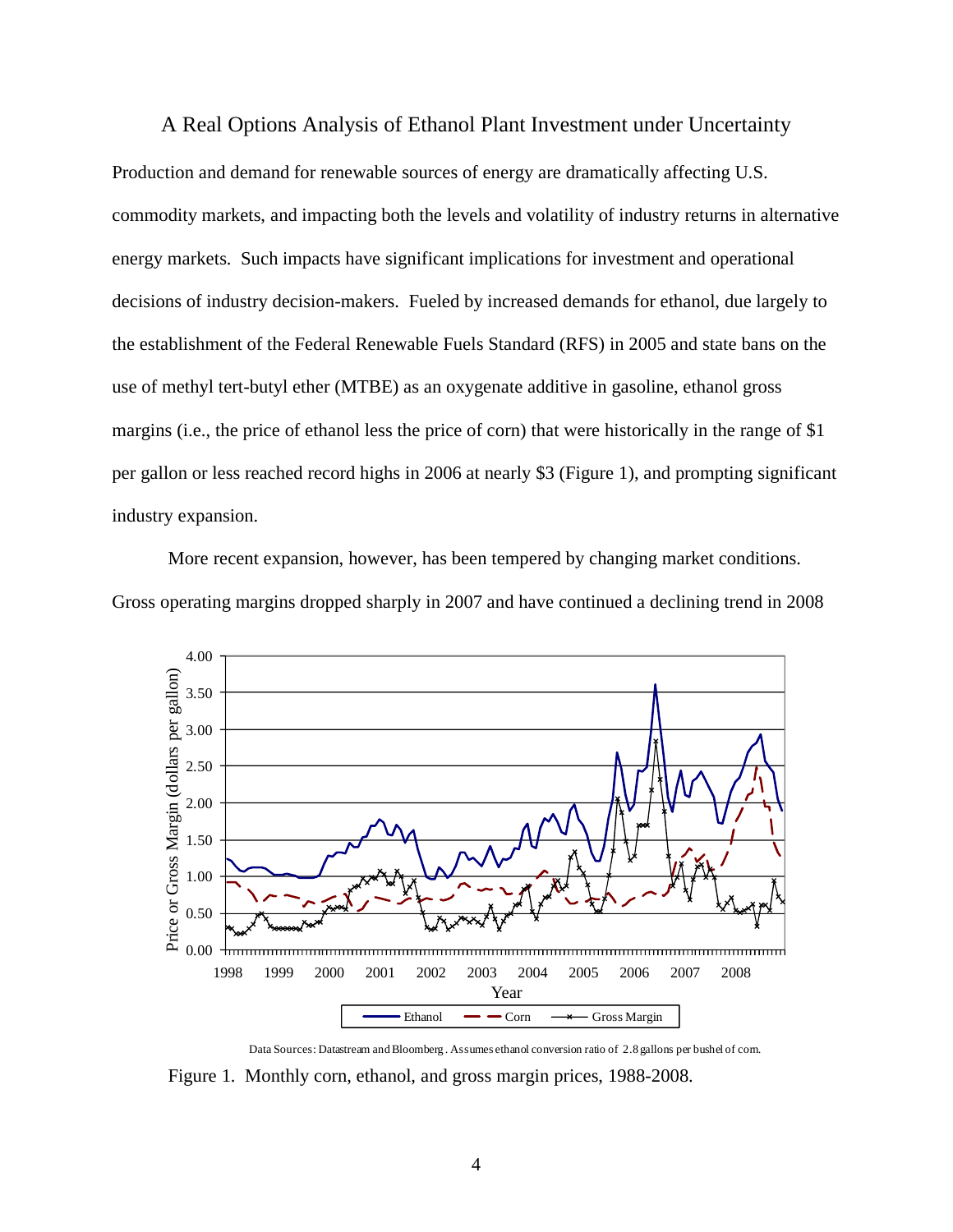#### A Real Options Analysis of Ethanol Plant Investment under Uncertainty

Production and demand for renewable sources of energy are dramatically affecting U.S. commodity markets, and impacting both the levels and volatility of industry returns in alternative energy markets. Such impacts have significant implications for investment and operational decisions of industry decision-makers. Fueled by increased demands for ethanol, due largely to the establishment of the Federal Renewable Fuels Standard (RFS) in 2005 and state bans on the use of methyl tert-butyl ether (MTBE) as an oxygenate additive in gasoline, ethanol gross margins (i.e., the price of ethanol less the price of corn) that were historically in the range of \$1 per gallon or less reached record highs in 2006 at nearly \$3 (Figure 1), and prompting significant industry expansion.

More recent expansion, however, has been tempered by changing market conditions. Gross operating margins dropped sharply in 2007 and have continued a declining trend in 2008



Data Sources: Datastream and Bloomberg . Assumes ethanol conversion ratio of 2.8 gallons per bushel of corn. Figure 1. Monthly corn, ethanol, and gross margin prices, 1988-2008.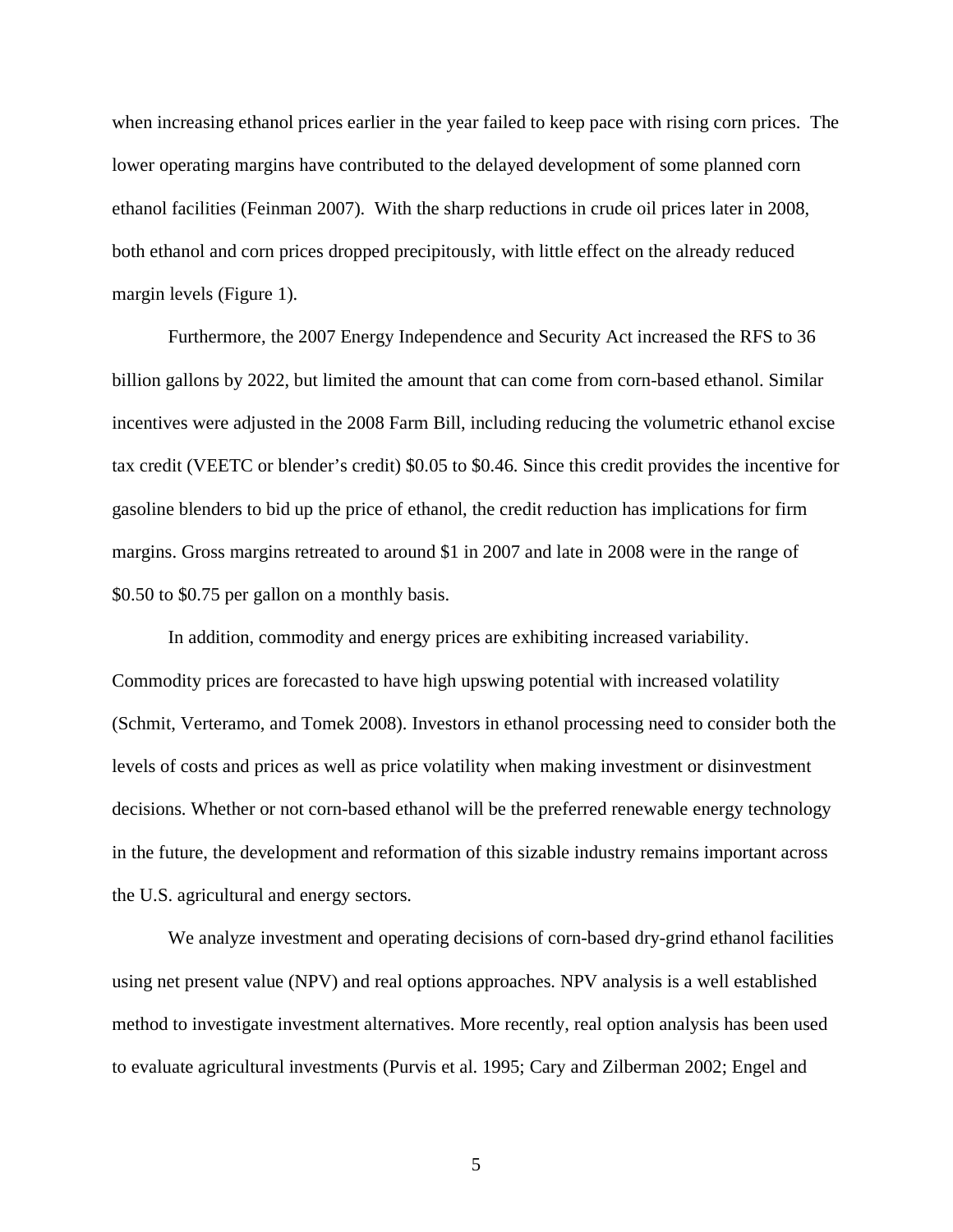when increasing ethanol prices earlier in the year failed to keep pace with rising corn prices. The lower operating margins have contributed to the delayed development of some planned corn ethanol facilities (Feinman 2007). With the sharp reductions in crude oil prices later in 2008, both ethanol and corn prices dropped precipitously, with little effect on the already reduced margin levels (Figure 1).

Furthermore, the 2007 Energy Independence and Security Act increased the RFS to 36 billion gallons by 2022, but limited the amount that can come from corn-based ethanol. Similar incentives were adjusted in the 2008 Farm Bill, including reducing the volumetric ethanol excise tax credit (VEETC or blender's credit) \$0.05 to \$0.46. Since this credit provides the incentive for gasoline blenders to bid up the price of ethanol, the credit reduction has implications for firm margins. Gross margins retreated to around \$1 in 2007 and late in 2008 were in the range of \$0.50 to \$0.75 per gallon on a monthly basis.

In addition, commodity and energy prices are exhibiting increased variability. Commodity prices are forecasted to have high upswing potential with increased volatility (Schmit, Verteramo, and Tomek 2008). Investors in ethanol processing need to consider both the levels of costs and prices as well as price volatility when making investment or disinvestment decisions. Whether or not corn-based ethanol will be the preferred renewable energy technology in the future, the development and reformation of this sizable industry remains important across the U.S. agricultural and energy sectors.

We analyze investment and operating decisions of corn-based dry-grind ethanol facilities using net present value (NPV) and real options approaches. NPV analysis is a well established method to investigate investment alternatives. More recently, real option analysis has been used to evaluate agricultural investments (Purvis et al. 1995; Cary and Zilberman 2002; Engel and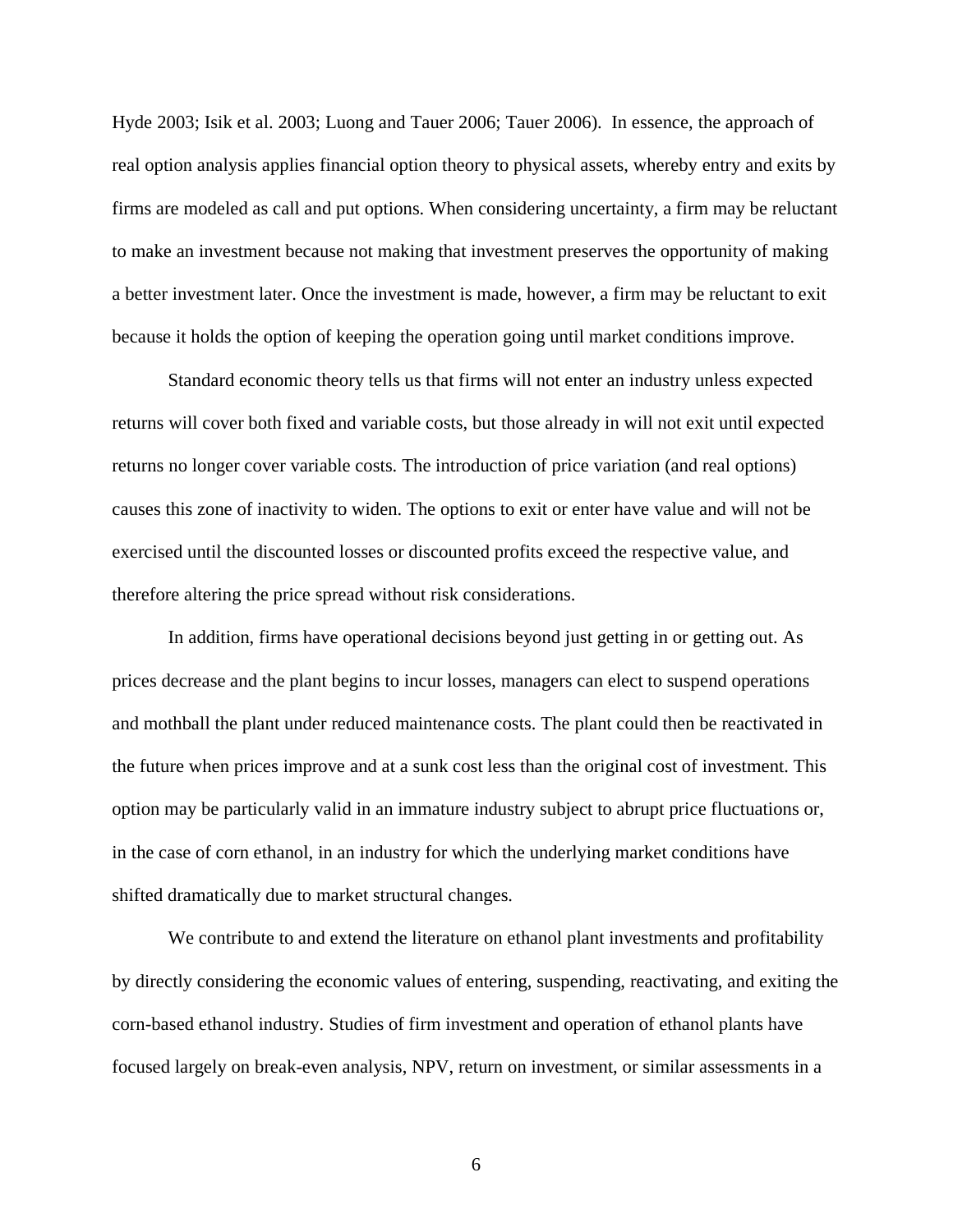Hyde 2003; Isik et al. 2003; Luong and Tauer 2006; Tauer 2006). In essence, the approach of real option analysis applies financial option theory to physical assets, whereby entry and exits by firms are modeled as call and put options. When considering uncertainty, a firm may be reluctant to make an investment because not making that investment preserves the opportunity of making a better investment later. Once the investment is made, however, a firm may be reluctant to exit because it holds the option of keeping the operation going until market conditions improve.

Standard economic theory tells us that firms will not enter an industry unless expected returns will cover both fixed and variable costs, but those already in will not exit until expected returns no longer cover variable costs. The introduction of price variation (and real options) causes this zone of inactivity to widen. The options to exit or enter have value and will not be exercised until the discounted losses or discounted profits exceed the respective value, and therefore altering the price spread without risk considerations.

In addition, firms have operational decisions beyond just getting in or getting out. As prices decrease and the plant begins to incur losses, managers can elect to suspend operations and mothball the plant under reduced maintenance costs. The plant could then be reactivated in the future when prices improve and at a sunk cost less than the original cost of investment. This option may be particularly valid in an immature industry subject to abrupt price fluctuations or, in the case of corn ethanol, in an industry for which the underlying market conditions have shifted dramatically due to market structural changes.

We contribute to and extend the literature on ethanol plant investments and profitability by directly considering the economic values of entering, suspending, reactivating, and exiting the corn-based ethanol industry. Studies of firm investment and operation of ethanol plants have focused largely on break-even analysis, NPV, return on investment, or similar assessments in a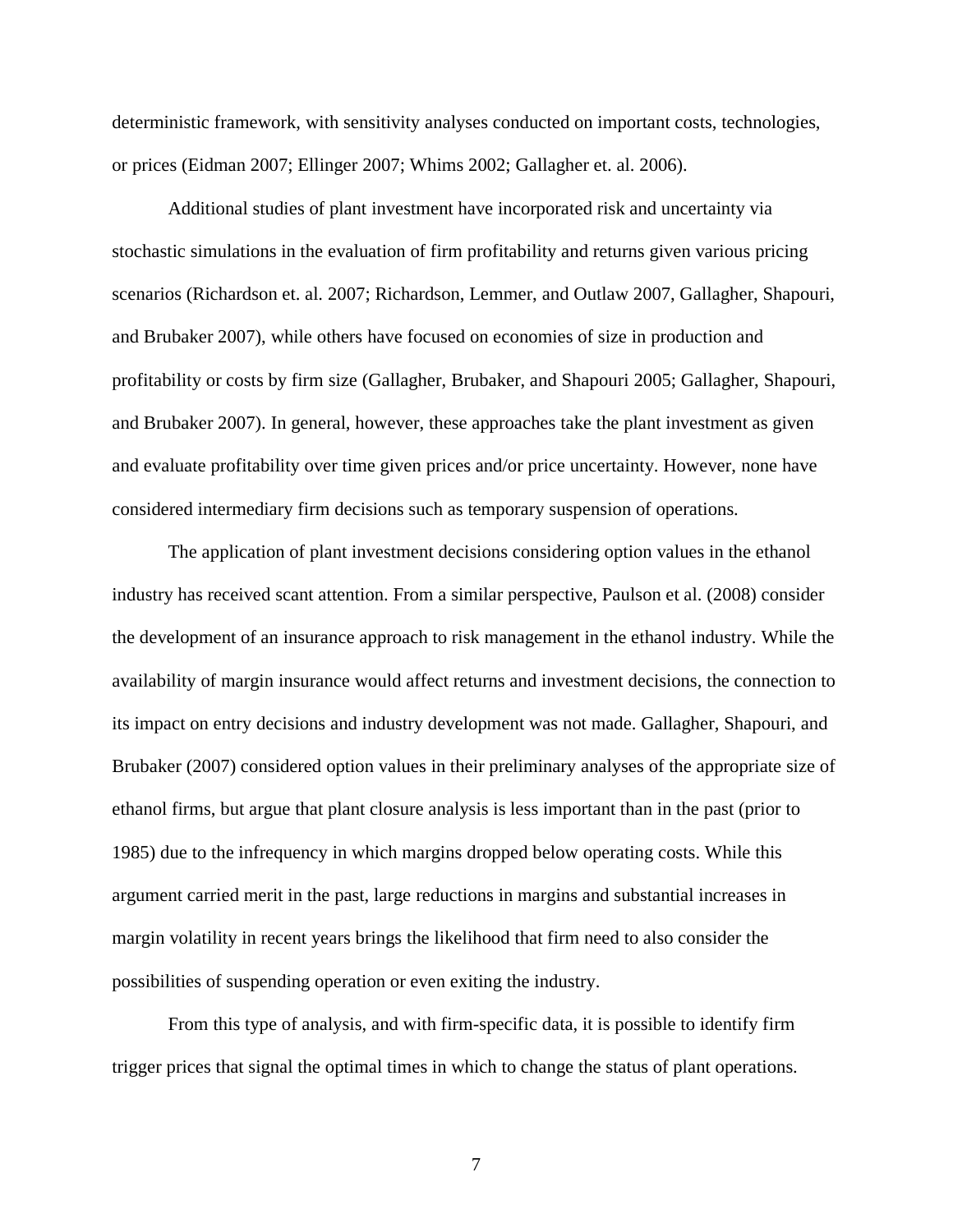deterministic framework, with sensitivity analyses conducted on important costs, technologies, or prices (Eidman 2007; Ellinger 2007; Whims 2002; Gallagher et. al. 2006).

Additional studies of plant investment have incorporated risk and uncertainty via stochastic simulations in the evaluation of firm profitability and returns given various pricing scenarios (Richardson et. al. 2007; Richardson, Lemmer, and Outlaw 2007, Gallagher, Shapouri, and Brubaker 2007), while others have focused on economies of size in production and profitability or costs by firm size (Gallagher, Brubaker, and Shapouri 2005; Gallagher, Shapouri, and Brubaker 2007). In general, however, these approaches take the plant investment as given and evaluate profitability over time given prices and/or price uncertainty. However, none have considered intermediary firm decisions such as temporary suspension of operations.

The application of plant investment decisions considering option values in the ethanol industry has received scant attention. From a similar perspective, Paulson et al. (2008) consider the development of an insurance approach to risk management in the ethanol industry. While the availability of margin insurance would affect returns and investment decisions, the connection to its impact on entry decisions and industry development was not made. Gallagher, Shapouri, and Brubaker (2007) considered option values in their preliminary analyses of the appropriate size of ethanol firms, but argue that plant closure analysis is less important than in the past (prior to 1985) due to the infrequency in which margins dropped below operating costs. While this argument carried merit in the past, large reductions in margins and substantial increases in margin volatility in recent years brings the likelihood that firm need to also consider the possibilities of suspending operation or even exiting the industry.

From this type of analysis, and with firm-specific data, it is possible to identify firm trigger prices that signal the optimal times in which to change the status of plant operations.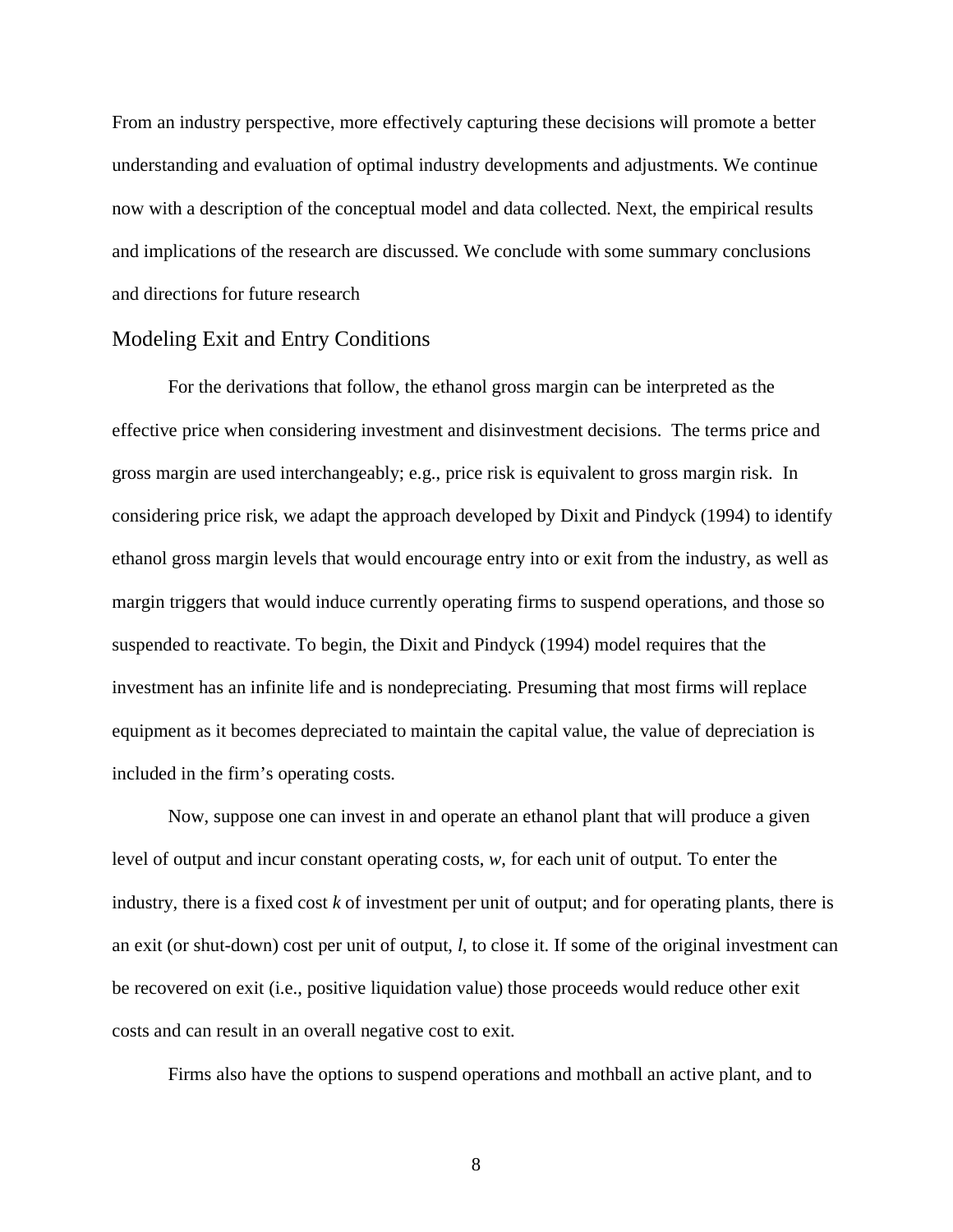From an industry perspective, more effectively capturing these decisions will promote a better understanding and evaluation of optimal industry developments and adjustments. We continue now with a description of the conceptual model and data collected. Next, the empirical results and implications of the research are discussed. We conclude with some summary conclusions and directions for future research

#### Modeling Exit and Entry Conditions

For the derivations that follow, the ethanol gross margin can be interpreted as the effective price when considering investment and disinvestment decisions. The terms price and gross margin are used interchangeably; e.g., price risk is equivalent to gross margin risk. In considering price risk, we adapt the approach developed by Dixit and Pindyck (1994) to identify ethanol gross margin levels that would encourage entry into or exit from the industry, as well as margin triggers that would induce currently operating firms to suspend operations, and those so suspended to reactivate. To begin, the Dixit and Pindyck (1994) model requires that the investment has an infinite life and is nondepreciating. Presuming that most firms will replace equipment as it becomes depreciated to maintain the capital value, the value of depreciation is included in the firm's operating costs.

Now, suppose one can invest in and operate an ethanol plant that will produce a given level of output and incur constant operating costs, *w*, for each unit of output. To enter the industry, there is a fixed cost *k* of investment per unit of output; and for operating plants, there is an exit (or shut-down) cost per unit of output, *l*, to close it. If some of the original investment can be recovered on exit (i.e., positive liquidation value) those proceeds would reduce other exit costs and can result in an overall negative cost to exit.

Firms also have the options to suspend operations and mothball an active plant, and to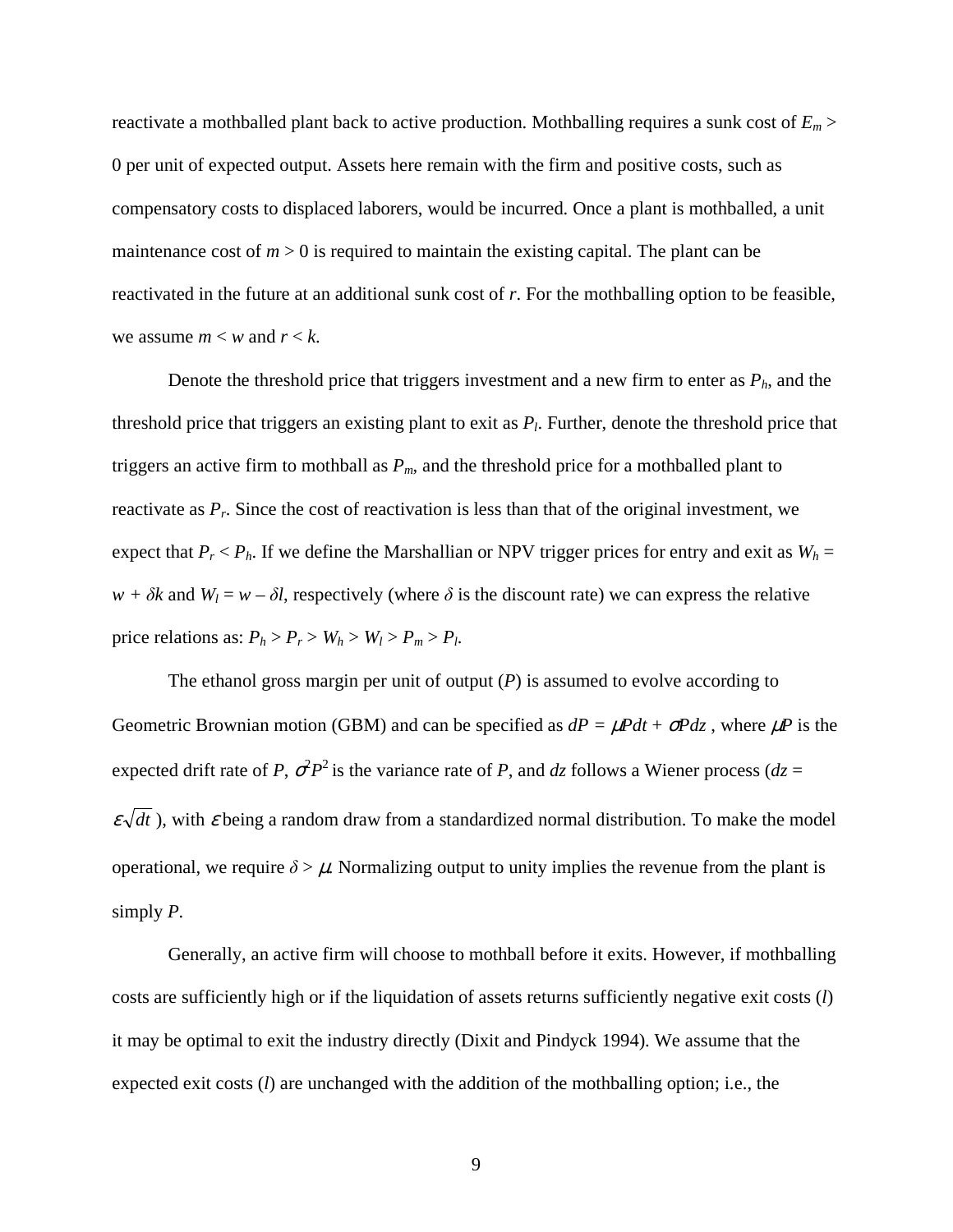reactivate a mothballed plant back to active production. Mothballing requires a sunk cost of *Em* > 0 per unit of expected output. Assets here remain with the firm and positive costs, such as compensatory costs to displaced laborers, would be incurred. Once a plant is mothballed, a unit maintenance cost of  $m > 0$  is required to maintain the existing capital. The plant can be reactivated in the future at an additional sunk cost of *r*. For the mothballing option to be feasible, we assume  $m < w$  and  $r < k$ .

Denote the threshold price that triggers investment and a new firm to enter as *Ph*, and the threshold price that triggers an existing plant to exit as *P<sup>l</sup>* . Further, denote the threshold price that triggers an active firm to mothball as *Pm*, and the threshold price for a mothballed plant to reactivate as  $P_r$ . Since the cost of reactivation is less than that of the original investment, we expect that  $P_r < P_h$ . If we define the Marshallian or NPV trigger prices for entry and exit as  $W_h =$  $w + \delta k$  and  $W_l = w - \delta l$ , respectively (where  $\delta$  is the discount rate) we can express the relative price relations as:  $P_h > P_r > W_h > W_l > P_m > P_l$ .

The ethanol gross margin per unit of output  $(P)$  is assumed to evolve according to Geometric Brownian motion (GBM) and can be specified as  $dP = \mu P dt + \sigma P dz$ , where  $\mu P$  is the expected drift rate of *P*,  $\sigma^2 P^2$  is the variance rate of *P*, and *dz* follows a Wiener process (*dz* =  $\varepsilon \sqrt{dt}$ ), with  $\varepsilon$  being a random draw from a standardized normal distribution. To make the model operational, we require  $\delta > \mu$ . Normalizing output to unity implies the revenue from the plant is simply *P*.

Generally, an active firm will choose to mothball before it exits. However, if mothballing costs are sufficiently high or if the liquidation of assets returns sufficiently negative exit costs (*l*) it may be optimal to exit the industry directly (Dixit and Pindyck 1994). We assume that the expected exit costs (*l*) are unchanged with the addition of the mothballing option; i.e., the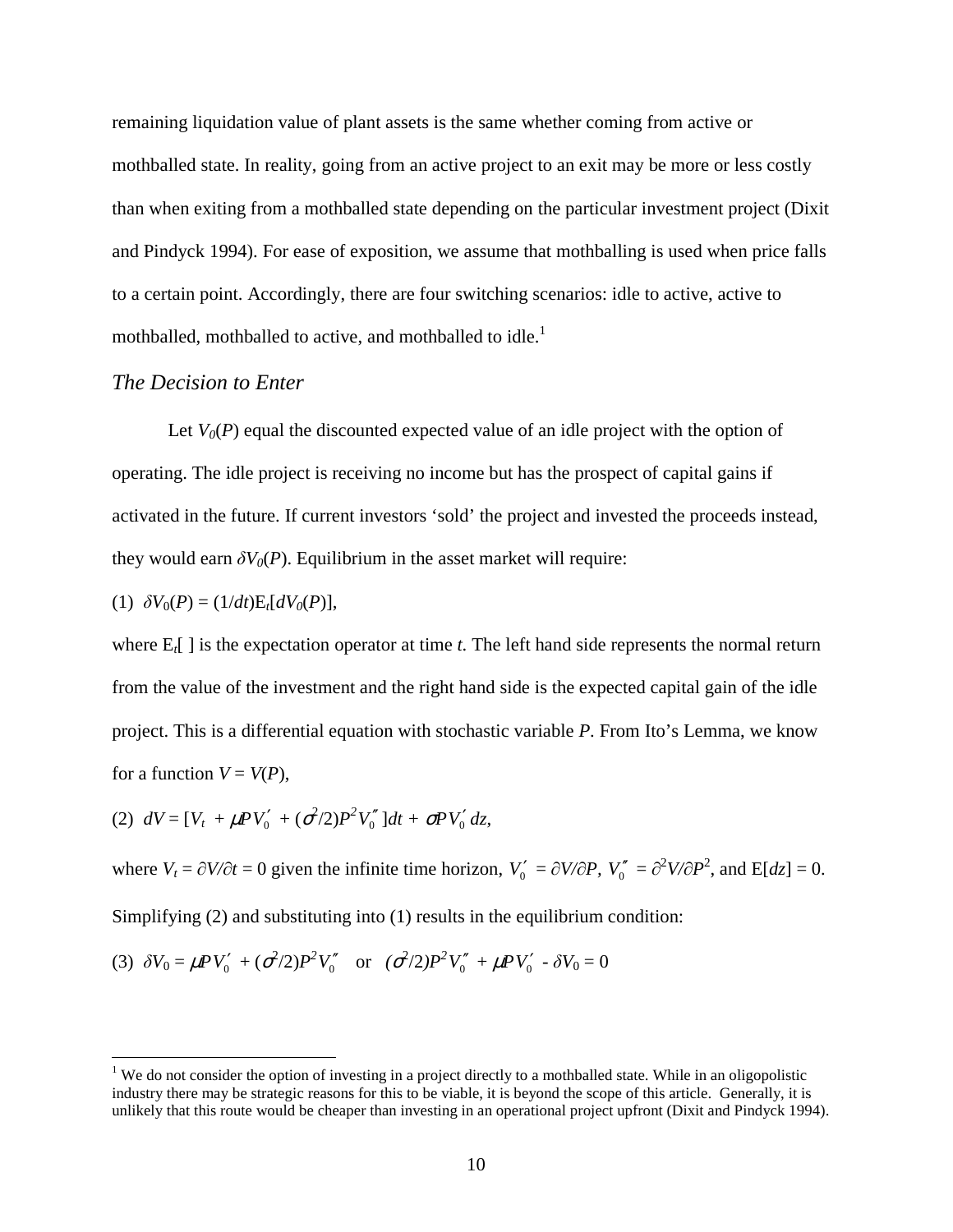remaining liquidation value of plant assets is the same whether coming from active or mothballed state. In reality, going from an active project to an exit may be more or less costly than when exiting from a mothballed state depending on the particular investment project (Dixit and Pindyck 1994). For ease of exposition, we assume that mothballing is used when price falls to a certain point. Accordingly, there are four switching scenarios: idle to active, active to mothballed, mothballed to active, and mothballed to idle.<sup>1</sup>

#### *The Decision to Enter*

Let  $V_0(P)$  equal the discounted expected value of an idle project with the option of operating. The idle project is receiving no income but has the prospect of capital gains if activated in the future. If current investors 'sold' the project and invested the proceeds instead, they would earn  $\delta V_0(P)$ . Equilibrium in the asset market will require:

(1) 
$$
\delta V_0(P) = (1/dt) E_t[dV_0(P)],
$$

<u>.</u>

where E*t*[ ] is the expectation operator at time *t*. The left hand side represents the normal return from the value of the investment and the right hand side is the expected capital gain of the idle project. This is a differential equation with stochastic variable *P*. From Ito's Lemma, we know for a function  $V = V(P)$ ,

(2) 
$$
dV = [V_t + \mu PV'_0' + (\sigma^2/2)P^2V''_0]dt + \sigma PV'_0 dz,
$$

where  $V_t = \frac{\partial V}{\partial t} = 0$  given the infinite time horizon,  $V_0' = \frac{\partial V}{\partial P}$ ,  $V_0'' = \frac{\partial^2 V}{\partial P^2}$ , and  $E[dz] = 0$ . Simplifying (2) and substituting into (1) results in the equilibrium condition:

(3) 
$$
\delta V_0 = \mu P V'_0 + (\sigma^2/2) P^2 V''_0
$$
 or  $(\sigma^2/2) P^2 V''_0 + \mu P V'_0 - \delta V_0 = 0$ 

 $1$  We do not consider the option of investing in a project directly to a mothballed state. While in an oligopolistic industry there may be strategic reasons for this to be viable, it is beyond the scope of this article. Generally, it is unlikely that this route would be cheaper than investing in an operational project upfront (Dixit and Pindyck 1994).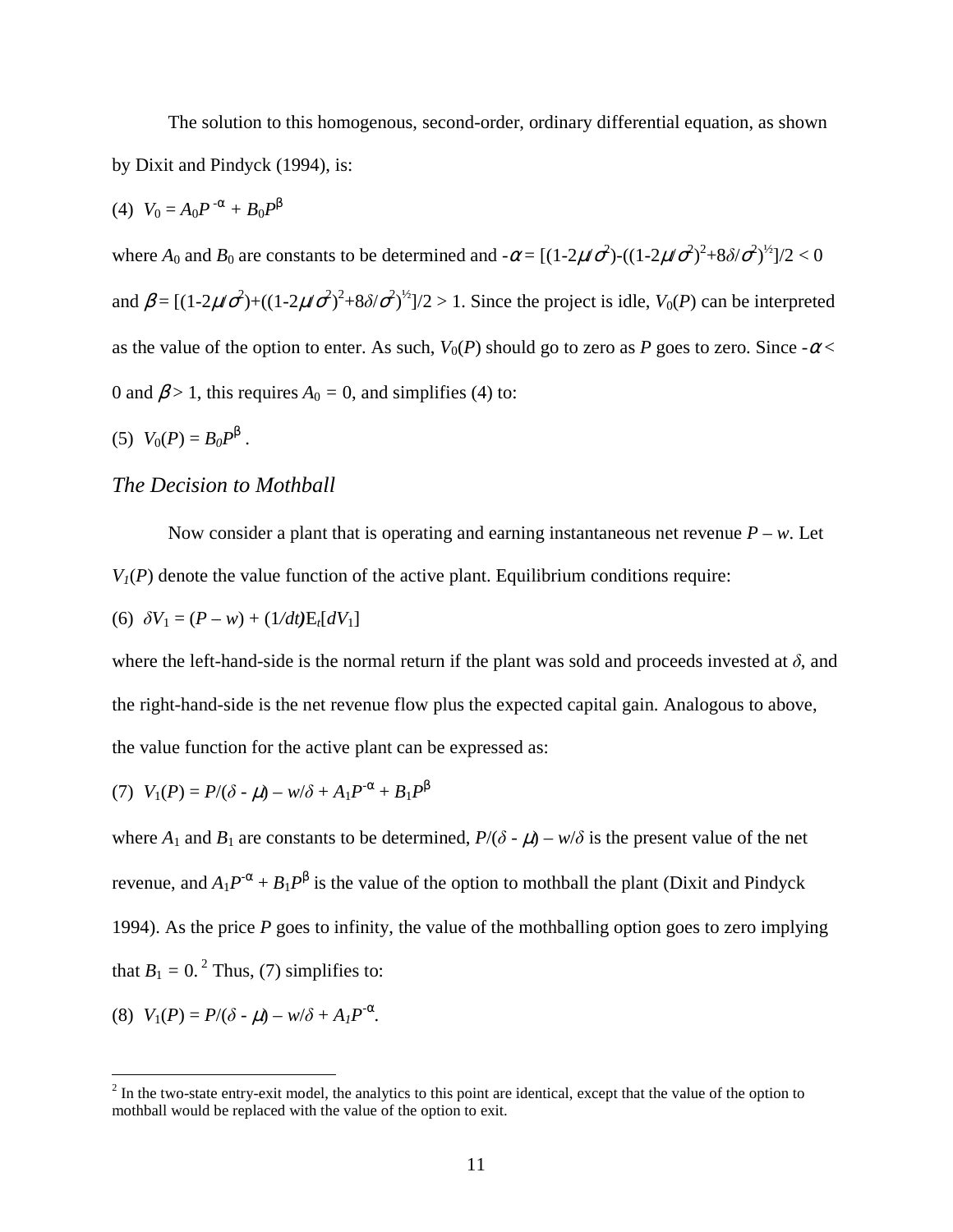The solution to this homogenous, second-order, ordinary differential equation, as shown by Dixit and Pindyck (1994), is:

(4) 
$$
V_0 = A_0 P^{-\alpha} + B_0 P^{\beta}
$$

where  $A_0$  and  $B_0$  are constants to be determined and  $-\alpha = [(1-2\mu/\sigma^2)-(1-2\mu/\sigma^2)^2+8\delta/\sigma^2)^{1/2}]/2 < 0$ and  $\beta = [(1-2\mu/\sigma^2) + ((1-2\mu/\sigma^2)^2 + 8\delta/\sigma^2)^{1/2}]$  /2 > 1. Since the project is idle, *V*<sub>0</sub>(*P*) can be interpreted as the value of the option to enter. As such,  $V_0(P)$  should go to zero as *P* goes to zero. Since  $-\alpha$  < 0 and  $\beta$  > 1, this requires  $A_0 = 0$ , and simplifies (4) to:

(5)  $V_0(P) = B_0 P^{\beta}$ .

### *The Decision to Mothball*

Now consider a plant that is operating and earning instantaneous net revenue  $P - w$ . Let  $V_I(P)$  denote the value function of the active plant. Equilibrium conditions require:

(6) 
$$
\delta V_1 = (P - w) + (1/dt)E_t[dV_1]
$$

where the left-hand-side is the normal return if the plant was sold and proceeds invested at  $\delta$ , and the right-hand-side is the net revenue flow plus the expected capital gain. Analogous to above, the value function for the active plant can be expressed as:

(7) 
$$
V_1(P) = P/(\delta - \mu) - w/\delta + A_1 P^{-\alpha} + B_1 P^{\beta}
$$

where  $A_1$  and  $B_1$  are constants to be determined,  $P/(\delta - \mu) - w/\delta$  is the present value of the net revenue, and  $A_1 P^{\alpha} + B_1 P^{\beta}$  is the value of the option to mothball the plant (Dixit and Pindyck 1994). As the price *P* goes to infinity, the value of the mothballing option goes to zero implying that  $B_1 = 0$ .<sup>2</sup> Thus, (7) simplifies to:

(8) 
$$
V_1(P) = P/(\delta - \mu) - w/\delta + A_1 P^{-\alpha}
$$
.

<sup>&</sup>lt;sup>2</sup> In the two-state entry-exit model, the analytics to this point are identical, except that the value of the option to mothball would be replaced with the value of the option to exit.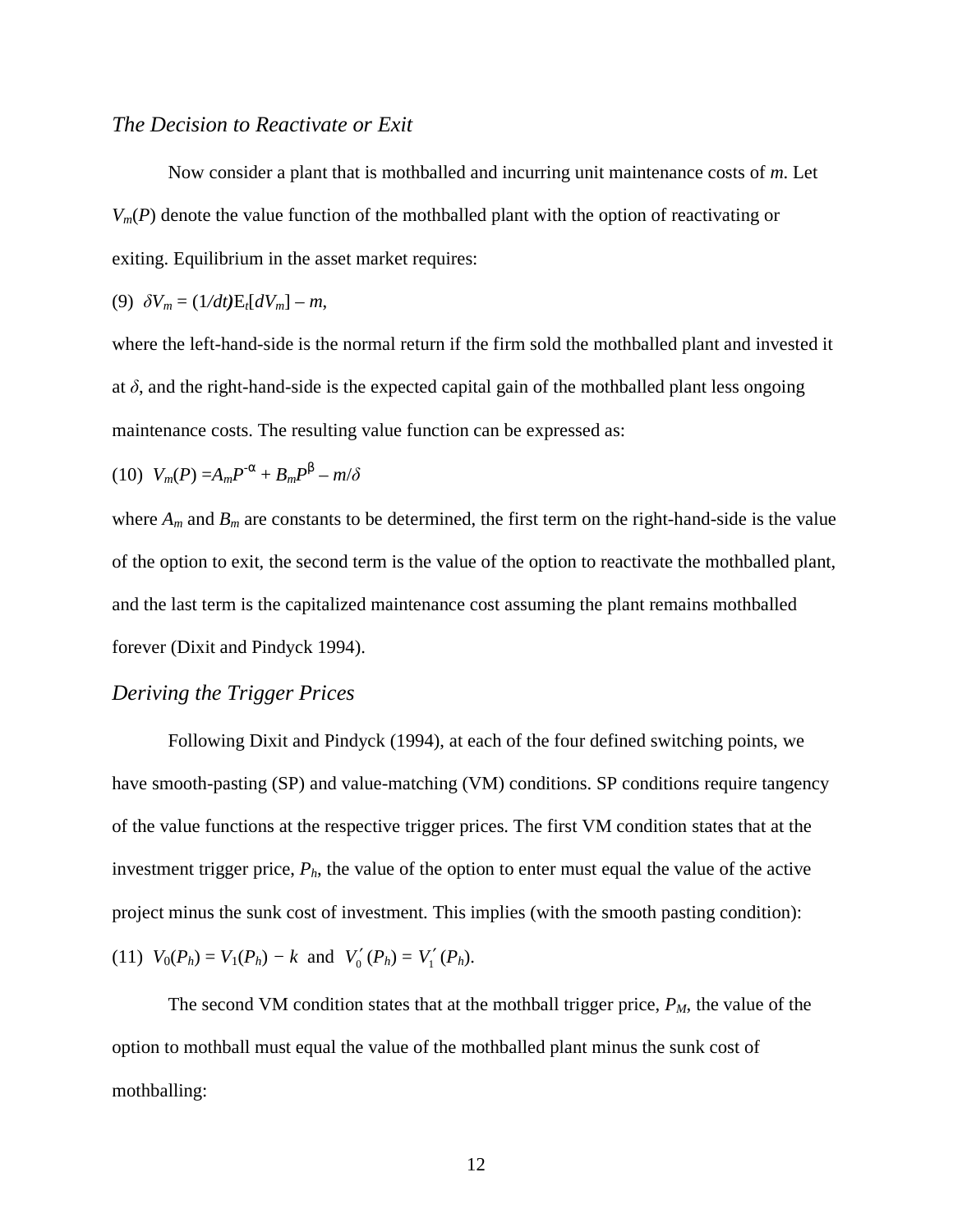#### *The Decision to Reactivate or Exit*

Now consider a plant that is mothballed and incurring unit maintenance costs of *m*. Let  $V_m(P)$  denote the value function of the mothballed plant with the option of reactivating or exiting. Equilibrium in the asset market requires:

$$
(9) \delta V_m = (1/dt) \mathbf{E}_t [dV_m] - m,
$$

where the left-hand-side is the normal return if the firm sold the mothballed plant and invested it at  $\delta$ , and the right-hand-side is the expected capital gain of the mothballed plant less ongoing maintenance costs. The resulting value function can be expressed as:

$$
(10) V_m(P) = A_m P^{\alpha} + B_m P^{\beta} - m/\delta
$$

where  $A_m$  and  $B_m$  are constants to be determined, the first term on the right-hand-side is the value of the option to exit, the second term is the value of the option to reactivate the mothballed plant, and the last term is the capitalized maintenance cost assuming the plant remains mothballed forever (Dixit and Pindyck 1994).

### *Deriving the Trigger Prices*

Following Dixit and Pindyck (1994), at each of the four defined switching points, we have smooth-pasting (SP) and value-matching (VM) conditions. SP conditions require tangency of the value functions at the respective trigger prices. The first VM condition states that at the investment trigger price, *Ph*, the value of the option to enter must equal the value of the active project minus the sunk cost of investment. This implies (with the smooth pasting condition):

(11) 
$$
V_0(P_h) = V_1(P_h) - k
$$
 and  $V'_0(P_h) = V'_1(P_h)$ .

The second VM condition states that at the mothball trigger price, *PM*, the value of the option to mothball must equal the value of the mothballed plant minus the sunk cost of mothballing: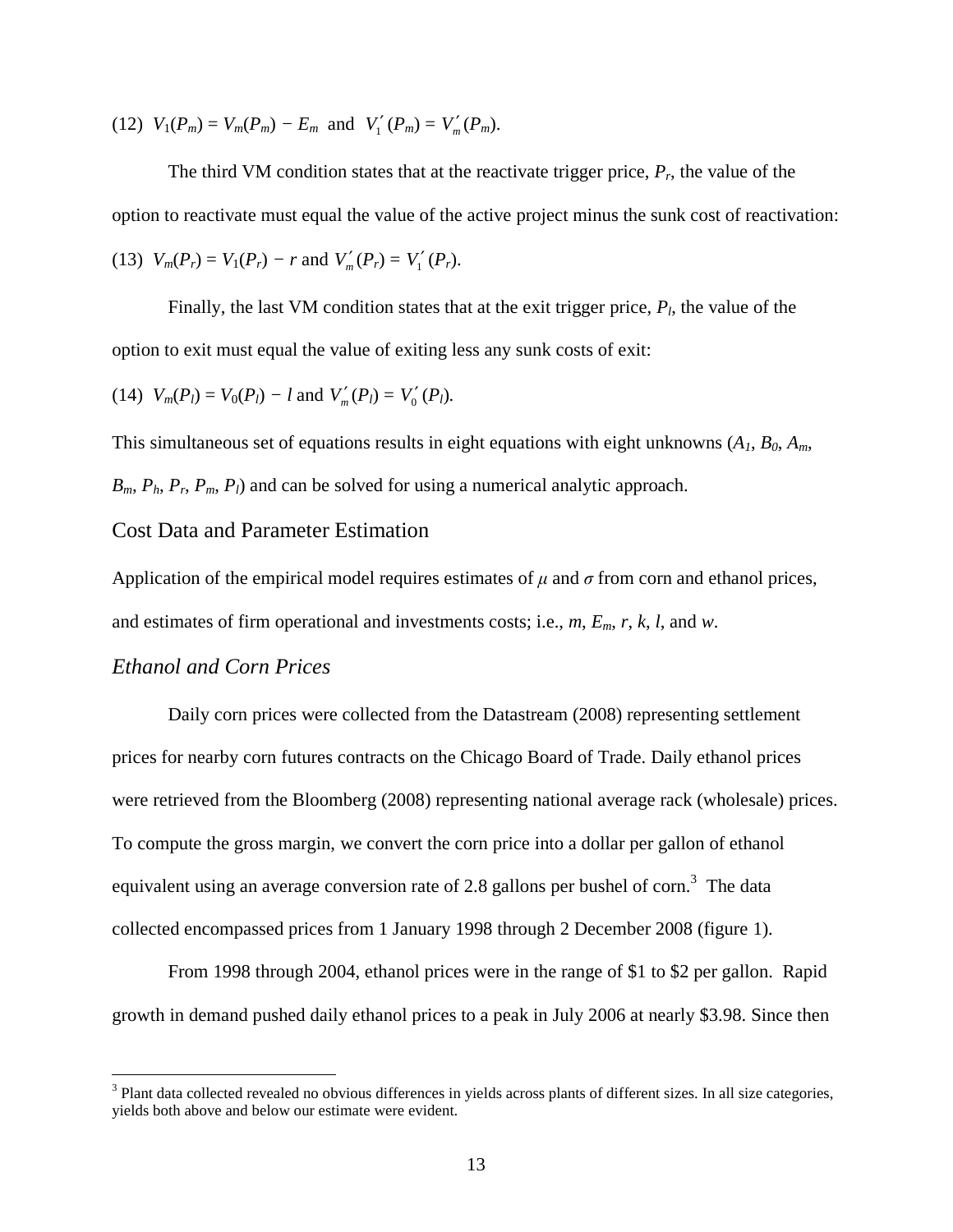(12)  $V_1(P_m) = V_m(P_m) - E_m$  and  $V'_1(P_m) = V'_m(P_m)$ .

The third VM condition states that at the reactivate trigger price,  $P_r$ , the value of the option to reactivate must equal the value of the active project minus the sunk cost of reactivation: (13)  $V_m(P_r) = V_1(P_r) - r$  and  $V'_m(P_r) = V'_1(P_r)$ .

Finally, the last VM condition states that at the exit trigger price,  $P_l$ , the value of the option to exit must equal the value of exiting less any sunk costs of exit:

(14) 
$$
V_m(P_l) = V_0(P_l) - l
$$
 and  $V'_m(P_l) = V'_0(P_l)$ .

This simultaneous set of equations results in eight equations with eight unknowns  $(A_1, B_0, A_m, A_m)$ *Bm*, *Ph*, *Pr*, *Pm*, *Pl*) and can be solved for using a numerical analytic approach.

## Cost Data and Parameter Estimation

Application of the empirical model requires estimates of  $\mu$  and  $\sigma$  from corn and ethanol prices, and estimates of firm operational and investments costs; i.e., *m*, *Em*, *r*, *k*, *l*, and *w*.

### *Ethanol and Corn Prices*

Daily corn prices were collected from the Datastream (2008) representing settlement prices for nearby corn futures contracts on the Chicago Board of Trade. Daily ethanol prices were retrieved from the Bloomberg (2008) representing national average rack (wholesale) prices. To compute the gross margin, we convert the corn price into a dollar per gallon of ethanol equivalent using an average conversion rate of 2.8 gallons per bushel of corn.<sup>3</sup> The data collected encompassed prices from 1 January 1998 through 2 December 2008 (figure 1).

From 1998 through 2004, ethanol prices were in the range of \$1 to \$2 per gallon. Rapid growth in demand pushed daily ethanol prices to a peak in July 2006 at nearly \$3.98. Since then

The sum data collected revealed no obvious differences in yields across plants of different sizes. In all size categories, yields both above and below our estimate were evident.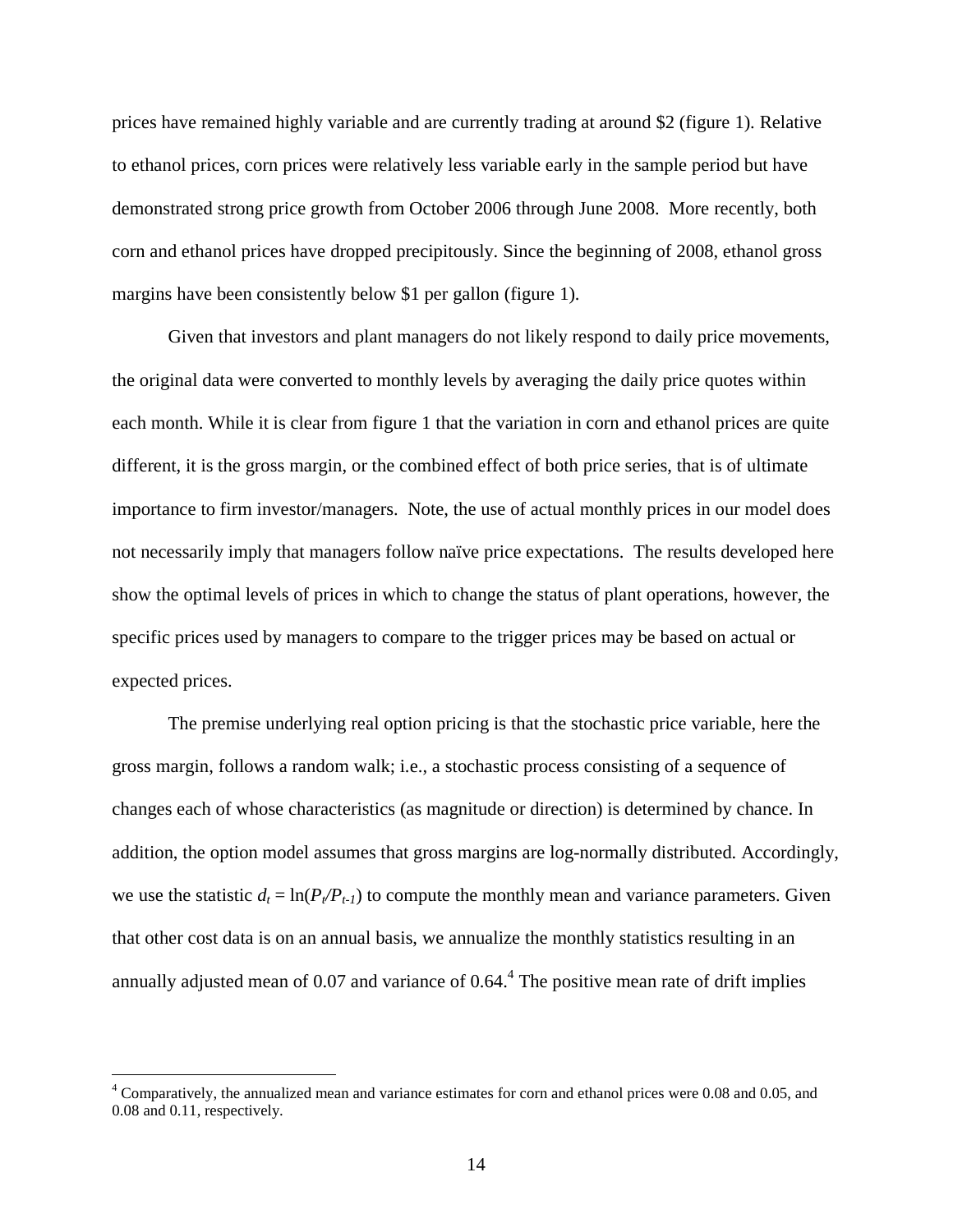prices have remained highly variable and are currently trading at around \$2 (figure 1). Relative to ethanol prices, corn prices were relatively less variable early in the sample period but have demonstrated strong price growth from October 2006 through June 2008. More recently, both corn and ethanol prices have dropped precipitously. Since the beginning of 2008, ethanol gross margins have been consistently below \$1 per gallon (figure 1).

Given that investors and plant managers do not likely respond to daily price movements, the original data were converted to monthly levels by averaging the daily price quotes within each month. While it is clear from figure 1 that the variation in corn and ethanol prices are quite different, it is the gross margin, or the combined effect of both price series, that is of ultimate importance to firm investor/managers. Note, the use of actual monthly prices in our model does not necessarily imply that managers follow naïve price expectations. The results developed here show the optimal levels of prices in which to change the status of plant operations, however, the specific prices used by managers to compare to the trigger prices may be based on actual or expected prices.

The premise underlying real option pricing is that the stochastic price variable, here the gross margin, follows a random walk; i.e., a stochastic process consisting of a sequence of changes each of whose characteristics (as magnitude or direction) is determined by chance. In addition, the option model assumes that gross margins are log-normally distributed. Accordingly, we use the statistic  $d_t = \ln(P_t/P_{t-1})$  to compute the monthly mean and variance parameters. Given that other cost data is on an annual basis, we annualize the monthly statistics resulting in an annually adjusted mean of 0.07 and variance of  $0.64<sup>4</sup>$ . The positive mean rate of drift implies

<sup>&</sup>lt;sup>4</sup> Comparatively, the annualized mean and variance estimates for corn and ethanol prices were 0.08 and 0.05, and <sup>4</sup> 0.08 and 0.11, respectively.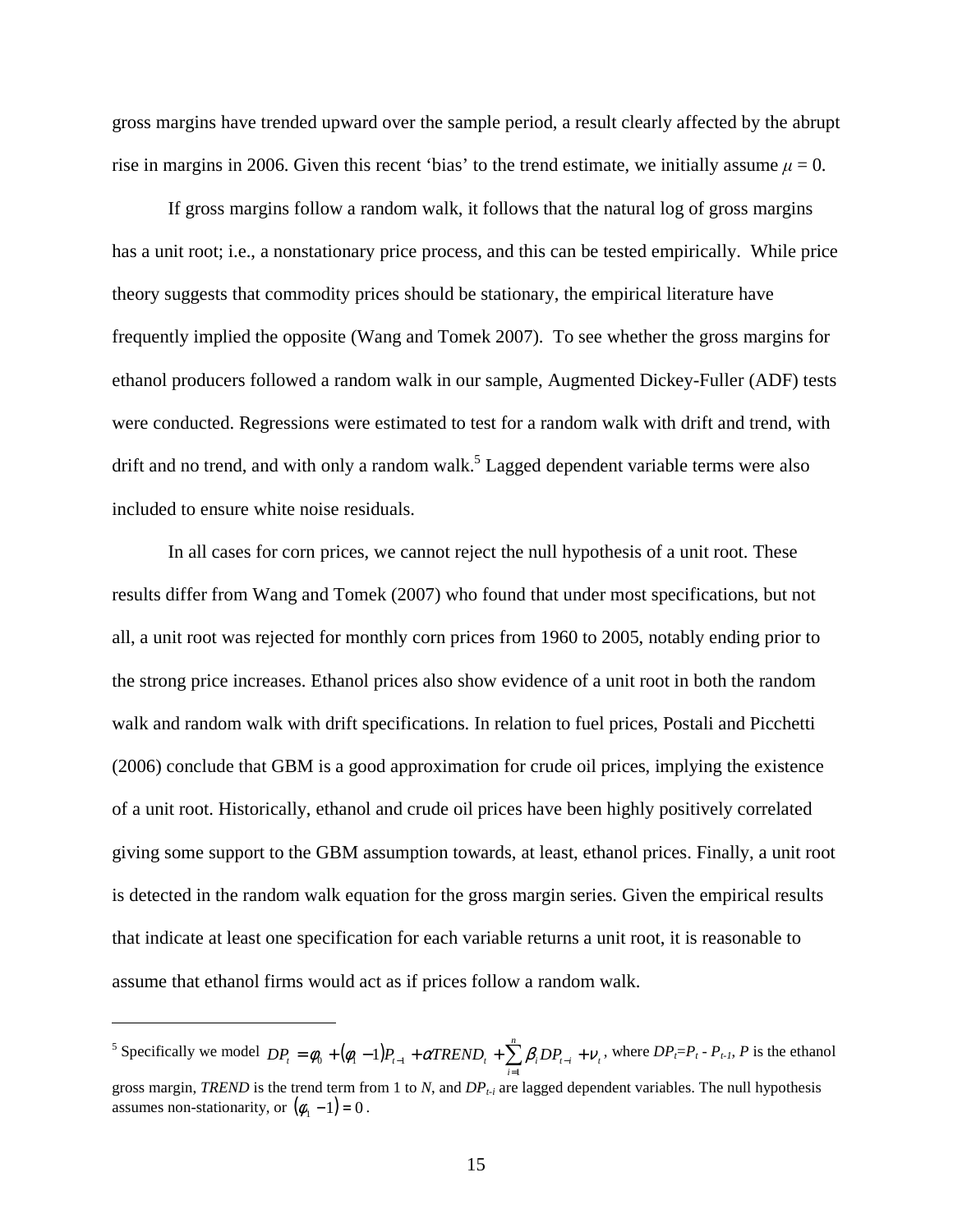gross margins have trended upward over the sample period, a result clearly affected by the abrupt rise in margins in 2006. Given this recent 'bias' to the trend estimate, we initially assume  $\mu = 0$ .

If gross margins follow a random walk, it follows that the natural log of gross margins has a unit root; i.e., a nonstationary price process, and this can be tested empirically. While price theory suggests that commodity prices should be stationary, the empirical literature have frequently implied the opposite (Wang and Tomek 2007). To see whether the gross margins for ethanol producers followed a random walk in our sample, Augmented Dickey-Fuller (ADF) tests were conducted. Regressions were estimated to test for a random walk with drift and trend, with drift and no trend, and with only a random walk.<sup>5</sup> Lagged dependent variable terms were also included to ensure white noise residuals.

In all cases for corn prices, we cannot reject the null hypothesis of a unit root. These results differ from Wang and Tomek (2007) who found that under most specifications, but not all, a unit root was rejected for monthly corn prices from 1960 to 2005, notably ending prior to the strong price increases. Ethanol prices also show evidence of a unit root in both the random walk and random walk with drift specifications. In relation to fuel prices, Postali and Picchetti (2006) conclude that GBM is a good approximation for crude oil prices, implying the existence of a unit root. Historically, ethanol and crude oil prices have been highly positively correlated giving some support to the GBM assumption towards, at least, ethanol prices. Finally, a unit root is detected in the random walk equation for the gross margin series. Given the empirical results that indicate at least one specification for each variable returns a unit root, it is reasonable to assume that ethanol firms would act as if prices follow a random walk.

<u>.</u>

<sup>&</sup>lt;sup>5</sup> Specifically we model  $DP_t = \phi_0 + (\phi_1 - 1)P_{t-1} + \alpha TREND_t + \sum_{i=1}^{n} \beta_i DP_{t-i} + V_t$  $DP_t = \phi_0 + (\phi_1 - 1)P_{t-1} + \alpha TREND_t + \sum_{i=1}^{n} \beta_i DP_{t-i} + v_t$ , where  $DP_t = P_t - P_{t-1}$ , *P* is the ethanol gross margin, *TREND* is the trend term from 1 to *N*, and *DPt-i* are lagged dependent variables. The null hypothesis assumes non-stationarity, or  $(\phi_1 - 1) = 0$ .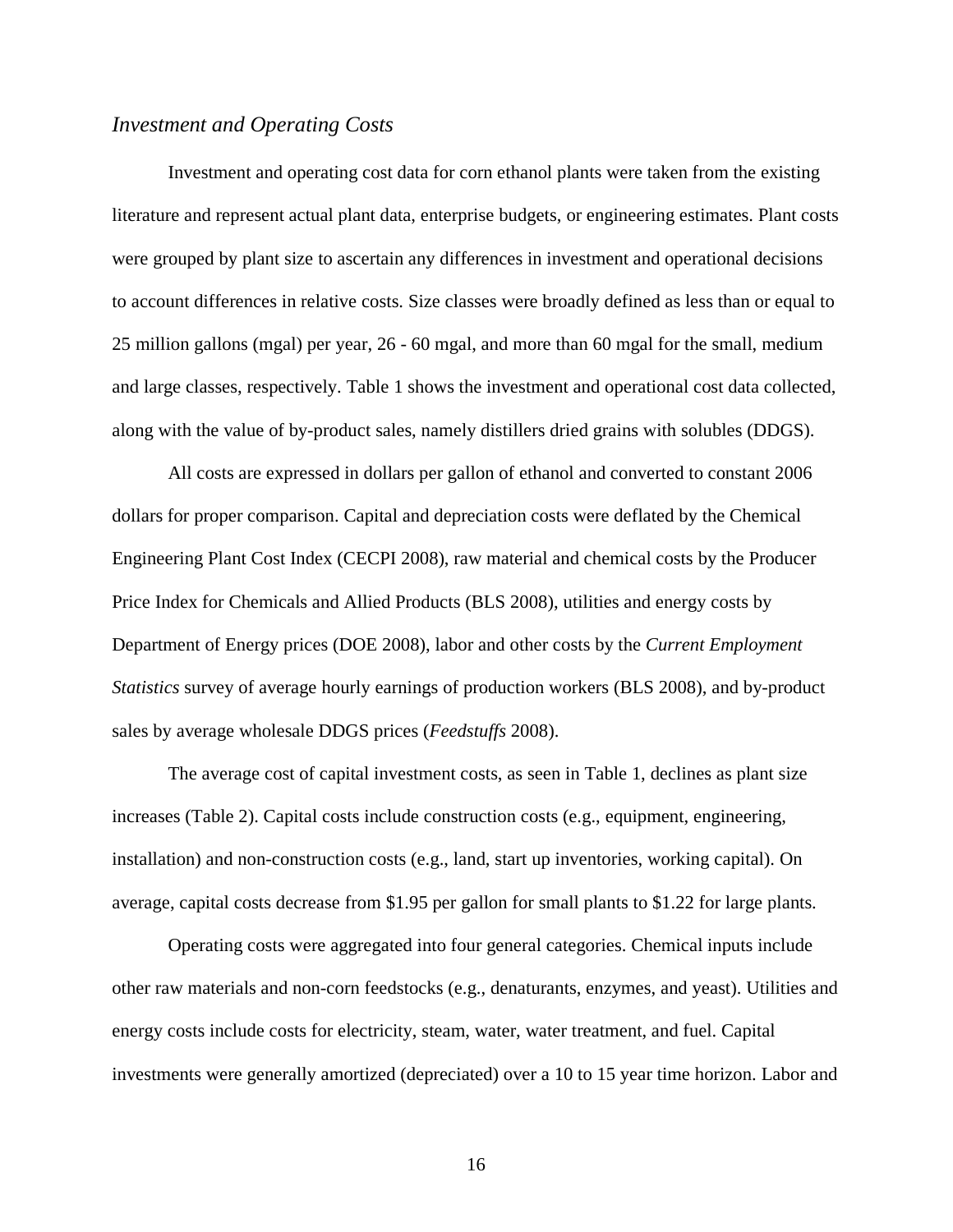### *Investment and Operating Costs*

Investment and operating cost data for corn ethanol plants were taken from the existing literature and represent actual plant data, enterprise budgets, or engineering estimates. Plant costs were grouped by plant size to ascertain any differences in investment and operational decisions to account differences in relative costs. Size classes were broadly defined as less than or equal to 25 million gallons (mgal) per year, 26 - 60 mgal, and more than 60 mgal for the small, medium and large classes, respectively. Table 1 shows the investment and operational cost data collected, along with the value of by-product sales, namely distillers dried grains with solubles (DDGS).

All costs are expressed in dollars per gallon of ethanol and converted to constant 2006 dollars for proper comparison. Capital and depreciation costs were deflated by the Chemical Engineering Plant Cost Index (CECPI 2008), raw material and chemical costs by the Producer Price Index for Chemicals and Allied Products (BLS 2008), utilities and energy costs by Department of Energy prices (DOE 2008), labor and other costs by the *Current Employment Statistics* survey of average hourly earnings of production workers (BLS 2008), and by-product sales by average wholesale DDGS prices (*Feedstuffs* 2008).

The average cost of capital investment costs, as seen in Table 1, declines as plant size increases (Table 2). Capital costs include construction costs (e.g., equipment, engineering, installation) and non-construction costs (e.g., land, start up inventories, working capital). On average, capital costs decrease from \$1.95 per gallon for small plants to \$1.22 for large plants.

Operating costs were aggregated into four general categories. Chemical inputs include other raw materials and non-corn feedstocks (e.g., denaturants, enzymes, and yeast). Utilities and energy costs include costs for electricity, steam, water, water treatment, and fuel. Capital investments were generally amortized (depreciated) over a 10 to 15 year time horizon. Labor and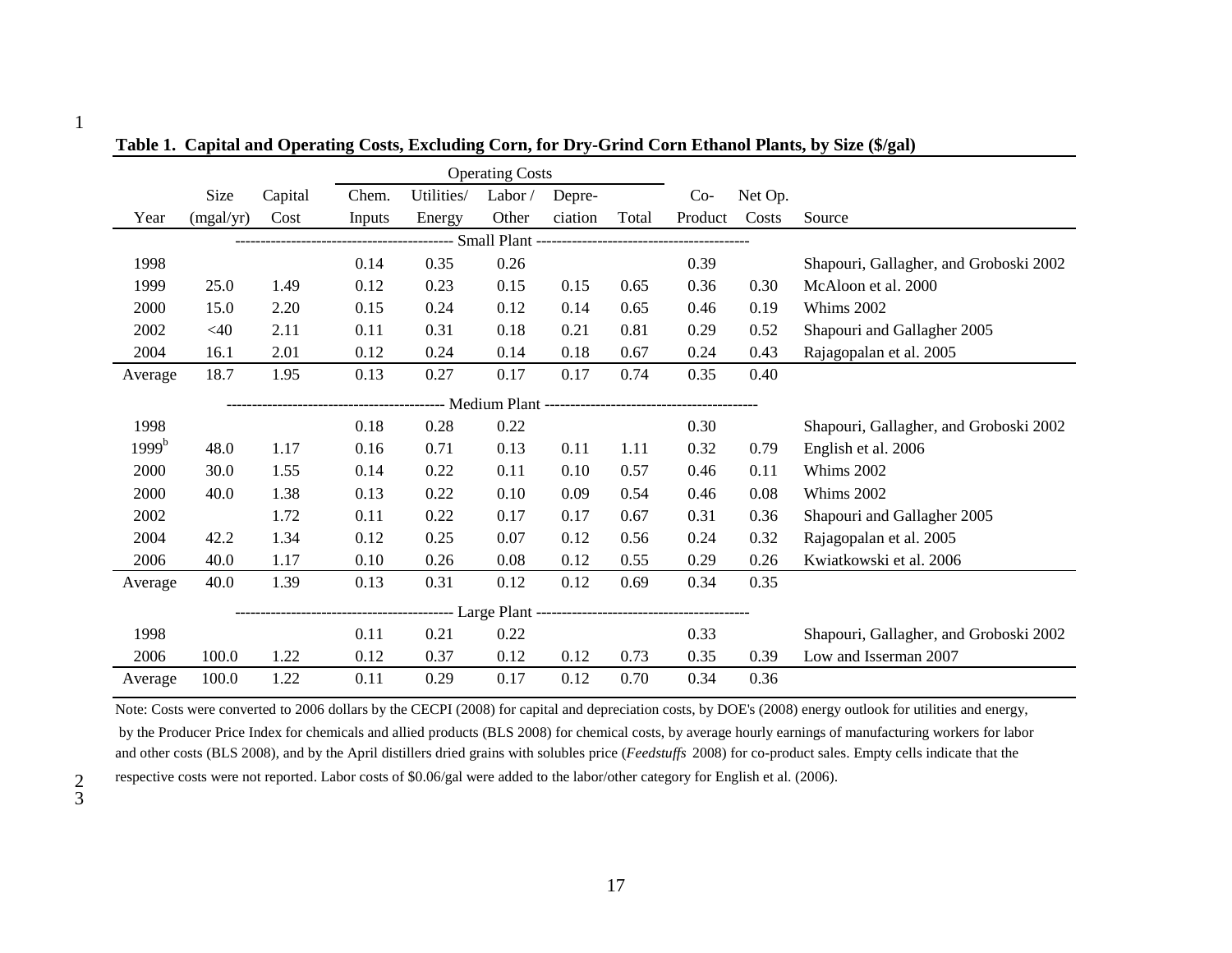|                   |                                               |         | <b>Operating Costs</b> |            |        |         |       |         |         |                                        |
|-------------------|-----------------------------------------------|---------|------------------------|------------|--------|---------|-------|---------|---------|----------------------------------------|
|                   | Size                                          | Capital | Chem.                  | Utilities/ | Labor/ | Depre-  |       | $Co-$   | Net Op. |                                        |
| Year              | (mgal/yr)                                     | Cost    | Inputs                 | Energy     | Other  | ciation | Total | Product | Costs   | Source                                 |
|                   | ------- Small Plant ------------------------- |         |                        |            |        |         |       |         |         |                                        |
| 1998              |                                               |         | 0.14                   | 0.35       | 0.26   |         |       | 0.39    |         | Shapouri, Gallagher, and Groboski 2002 |
| 1999              | 25.0                                          | 1.49    | 0.12                   | 0.23       | 0.15   | 0.15    | 0.65  | 0.36    | 0.30    | McAloon et al. 2000                    |
| 2000              | 15.0                                          | 2.20    | 0.15                   | 0.24       | 0.12   | 0.14    | 0.65  | 0.46    | 0.19    | Whims 2002                             |
| 2002              | $<$ 40                                        | 2.11    | 0.11                   | 0.31       | 0.18   | 0.21    | 0.81  | 0.29    | 0.52    | Shapouri and Gallagher 2005            |
| 2004              | 16.1                                          | 2.01    | 0.12                   | 0.24       | 0.14   | 0.18    | 0.67  | 0.24    | 0.43    | Rajagopalan et al. 2005                |
| Average           | 18.7                                          | 1.95    | 0.13                   | 0.27       | 0.17   | 0.17    | 0.74  | 0.35    | 0.40    |                                        |
|                   |                                               |         |                        |            |        |         |       |         |         |                                        |
| 1998              |                                               |         | 0.18                   | 0.28       | 0.22   |         |       | 0.30    |         | Shapouri, Gallagher, and Groboski 2002 |
| 1999 <sup>b</sup> | 48.0                                          | 1.17    | 0.16                   | 0.71       | 0.13   | 0.11    | 1.11  | 0.32    | 0.79    | English et al. 2006                    |
| 2000              | 30.0                                          | 1.55    | 0.14                   | 0.22       | 0.11   | 0.10    | 0.57  | 0.46    | 0.11    | Whims 2002                             |
| 2000              | 40.0                                          | 1.38    | 0.13                   | 0.22       | 0.10   | 0.09    | 0.54  | 0.46    | 0.08    | Whims 2002                             |
| 2002              |                                               | 1.72    | 0.11                   | 0.22       | 0.17   | 0.17    | 0.67  | 0.31    | 0.36    | Shapouri and Gallagher 2005            |
| 2004              | 42.2                                          | 1.34    | 0.12                   | 0.25       | 0.07   | 0.12    | 0.56  | 0.24    | 0.32    | Rajagopalan et al. 2005                |
| 2006              | 40.0                                          | 1.17    | 0.10                   | 0.26       | 0.08   | 0.12    | 0.55  | 0.29    | 0.26    | Kwiatkowski et al. 2006                |
| Average           | 40.0                                          | 1.39    | 0.13                   | 0.31       | 0.12   | 0.12    | 0.69  | 0.34    | 0.35    |                                        |
|                   |                                               |         |                        |            |        |         |       |         |         |                                        |
| 1998              |                                               |         | 0.11                   | 0.21       | 0.22   |         |       | 0.33    |         | Shapouri, Gallagher, and Groboski 2002 |
| 2006              | 100.0                                         | 1.22    | 0.12                   | 0.37       | 0.12   | 0.12    | 0.73  | 0.35    | 0.39    | Low and Isserman 2007                  |
| Average           | 100.0                                         | 1.22    | 0.11                   | 0.29       | 0.17   | 0.12    | 0.70  | 0.34    | 0.36    |                                        |

**Table 1. Capital and Operating Costs, Excluding Corn, for Dry-Grind Corn Ethanol Plants, by Size (\$/gal)**

Note: Costs were converted to 2006 dollars by the CECPI (2008) for capital and depreciation costs, by DOE's (2008) energy outlook for utilities and energy, by the Producer Price Index for chemicals and allied products (BLS 2008) for chemical costs, by average hourly earnings of manufacturing workers for laborand other costs (BLS 2008), and by the April distillers dried grains with solubles price (*Feedstuffs* 2008) for co-product sales. Empty cells indicate that therespective costs were not reported. Labor costs of \$0.06/gal were added to the labor/other category for English et al. (2006).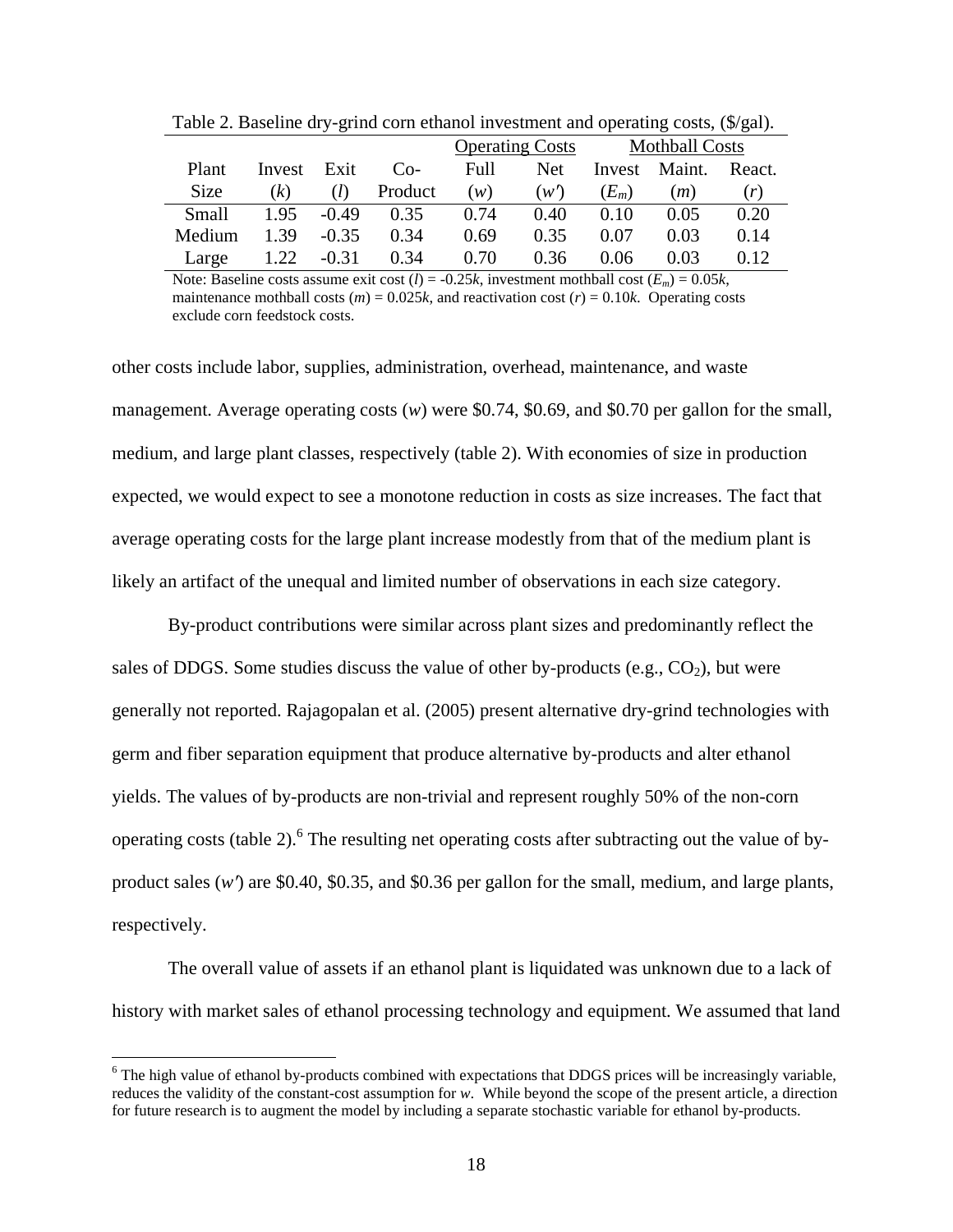|             |        | <u>.</u> |         |      |                        |                       |        |        |
|-------------|--------|----------|---------|------|------------------------|-----------------------|--------|--------|
|             |        |          |         |      | <b>Operating Costs</b> | <b>Mothball Costs</b> |        |        |
| Plant       | Invest | Exit     | $Co-$   | Full | Net.                   | Invest                | Maint. | React. |
| <b>Size</b> | (k)    | (l)      | Product | (w)  | (w')                   | $(E_m)$               | (m)    | (r)    |
| Small       | 1.95   | $-0.49$  | 0.35    | 0.74 | 0.40                   | 0.10                  | 0.05   | 0.20   |
| Medium      | 1.39   | $-0.35$  | 0.34    | 0.69 | 0.35                   | 0.07                  | 0.03   | 0.14   |
| Large       | 1.22   | $-0.31$  | 0.34    | 0.70 | 0.36                   | 0.06                  | 0.03   | 0.12   |

Table 2. Baseline dry-grind corn ethanol investment and operating costs, (\$/gal).

Note: Baseline costs assume exit cost  $(l) = -0.25k$ , investment mothball cost  $(E_m) = 0.05k$ , maintenance mothball costs  $(m) = 0.025k$ , and reactivation cost  $(r) = 0.10k$ . Operating costs exclude corn feedstock costs.

other costs include labor, supplies, administration, overhead, maintenance, and waste management. Average operating costs (*w*) were \$0.74, \$0.69, and \$0.70 per gallon for the small, medium, and large plant classes, respectively (table 2). With economies of size in production expected, we would expect to see a monotone reduction in costs as size increases. The fact that average operating costs for the large plant increase modestly from that of the medium plant is likely an artifact of the unequal and limited number of observations in each size category.

By-product contributions were similar across plant sizes and predominantly reflect the sales of DDGS. Some studies discuss the value of other by-products (e.g.,  $CO<sub>2</sub>$ ), but were generally not reported. Rajagopalan et al. (2005) present alternative dry-grind technologies with germ and fiber separation equipment that produce alternative by-products and alter ethanol yields. The values of by-products are non-trivial and represent roughly 50% of the non-corn operating costs (table 2). <sup>6</sup> The resulting net operating costs after subtracting out the value of byproduct sales (*w*′) are \$0.40, \$0.35, and \$0.36 per gallon for the small, medium, and large plants, respectively.

The overall value of assets if an ethanol plant is liquidated was unknown due to a lack of history with market sales of ethanol processing technology and equipment. We assumed that land

 $\overline{a}$ 

<sup>&</sup>lt;sup>6</sup> The high value of ethanol by-products combined with expectations that DDGS prices will be increasingly variable, reduces the validity of the constant-cost assumption for *w*. While beyond the scope of the present article, a direction for future research is to augment the model by including a separate stochastic variable for ethanol by-products.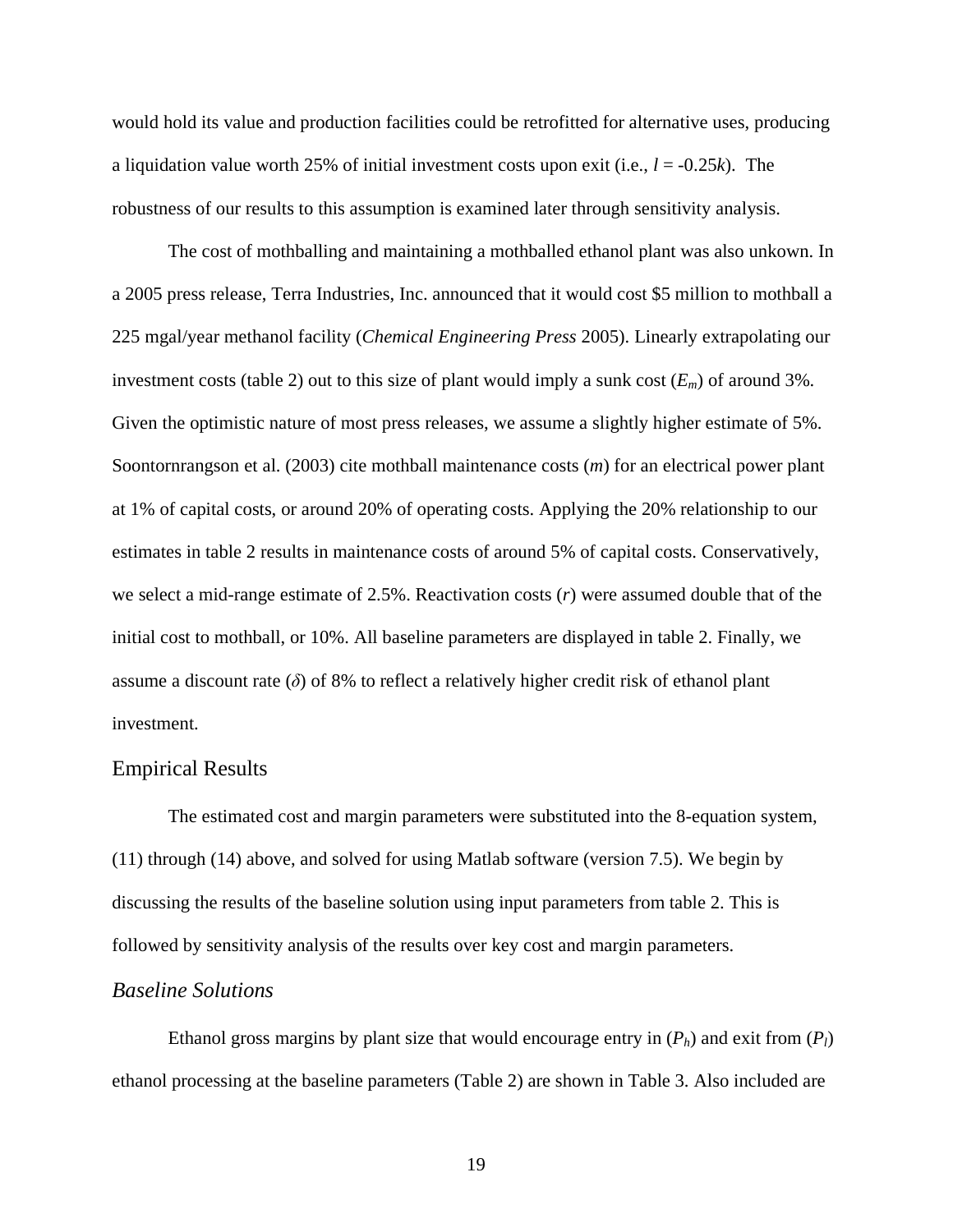would hold its value and production facilities could be retrofitted for alternative uses, producing a liquidation value worth 25% of initial investment costs upon exit (i.e., *l* = -0.25*k*). The robustness of our results to this assumption is examined later through sensitivity analysis.

The cost of mothballing and maintaining a mothballed ethanol plant was also unkown. In a 2005 press release, Terra Industries, Inc. announced that it would cost \$5 million to mothball a 225 mgal/year methanol facility (*Chemical Engineering Press* 2005). Linearly extrapolating our investment costs (table 2) out to this size of plant would imply a sunk cost  $(E_m)$  of around 3%. Given the optimistic nature of most press releases, we assume a slightly higher estimate of 5%. Soontornrangson et al. (2003) cite mothball maintenance costs (*m*) for an electrical power plant at 1% of capital costs, or around 20% of operating costs. Applying the 20% relationship to our estimates in table 2 results in maintenance costs of around 5% of capital costs. Conservatively, we select a mid-range estimate of 2.5%. Reactivation costs (*r*) were assumed double that of the initial cost to mothball, or 10%. All baseline parameters are displayed in table 2. Finally, we assume a discount rate  $(\delta)$  of 8% to reflect a relatively higher credit risk of ethanol plant investment.

### Empirical Results

The estimated cost and margin parameters were substituted into the 8-equation system, (11) through (14) above, and solved for using Matlab software (version 7.5). We begin by discussing the results of the baseline solution using input parameters from table 2. This is followed by sensitivity analysis of the results over key cost and margin parameters.

### *Baseline Solutions*

Ethanol gross margins by plant size that would encourage entry in  $(P_h)$  and exit from  $(P_l)$ ethanol processing at the baseline parameters (Table 2) are shown in Table 3. Also included are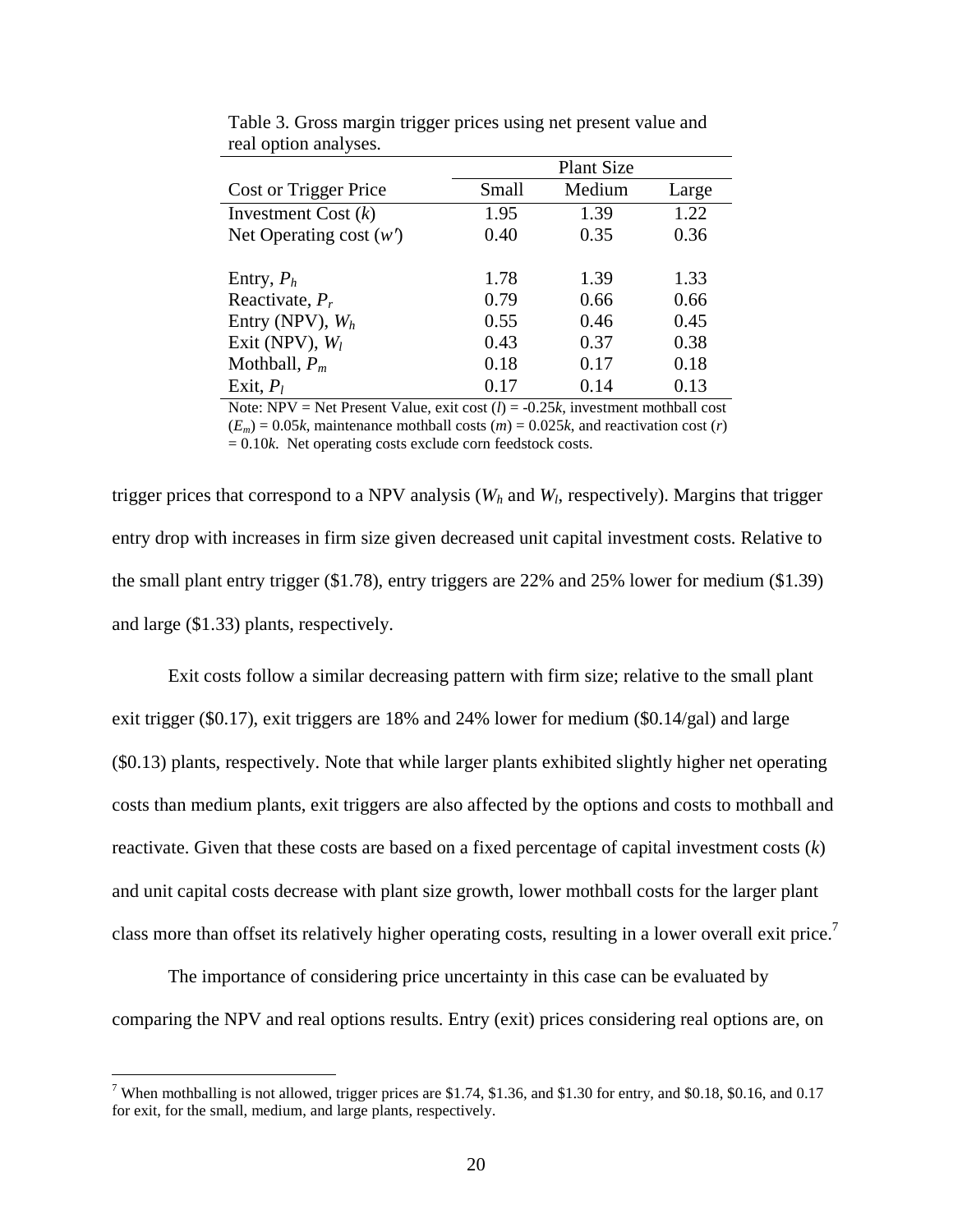|                           |       | <b>Plant Size</b> |       |
|---------------------------|-------|-------------------|-------|
| Cost or Trigger Price     | Small | Medium            | Large |
| Investment Cost $(k)$     | 1.95  | 1.39              | 1.22  |
| Net Operating cost $(w')$ | 0.40  | 0.35              | 0.36  |
| Entry, $P_h$              | 1.78  | 1.39              | 1.33  |
| Reactivate, $P_r$         | 0.79  | 0.66              | 0.66  |
| Entry (NPV), $W_h$        | 0.55  | 0.46              | 0.45  |
| Exit (NPV), $W_l$         | 0.43  | 0.37              | 0.38  |
| Mothball, $P_m$           | 0.18  | 0.17              | 0.18  |
| Exit, $P_l$               | 0.17  | 0.14              | 0.13  |

Table 3. Gross margin trigger prices using net present value and real option analyses.

Note: NPV = Net Present Value, exit cost  $(l) = -0.25k$ , investment mothball cost  $(E_m) = 0.05k$ , maintenance mothball costs  $(m) = 0.025k$ , and reactivation cost  $(r)$  $= 0.10k$ . Net operating costs exclude corn feedstock costs.

trigger prices that correspond to a NPV analysis (*Wh* and *W<sup>l</sup>* , respectively). Margins that trigger entry drop with increases in firm size given decreased unit capital investment costs. Relative to the small plant entry trigger (\$1.78), entry triggers are 22% and 25% lower for medium (\$1.39) and large (\$1.33) plants, respectively.

Exit costs follow a similar decreasing pattern with firm size; relative to the small plant exit trigger (\$0.17), exit triggers are 18% and 24% lower for medium (\$0.14/gal) and large (\$0.13) plants, respectively. Note that while larger plants exhibited slightly higher net operating costs than medium plants, exit triggers are also affected by the options and costs to mothball and reactivate. Given that these costs are based on a fixed percentage of capital investment costs (*k*) and unit capital costs decrease with plant size growth, lower mothball costs for the larger plant class more than offset its relatively higher operating costs, resulting in a lower overall exit price.<sup>7</sup>

The importance of considering price uncertainty in this case can be evaluated by comparing the NPV and real options results. Entry (exit) prices considering real options are, on

T<br>When mothballing is not allowed, trigger prices are \$1.74, \$1.36, and \$1.30 for entry, and \$0.18, \$0.16, and 0.17 for exit, for the small, medium, and large plants, respectively.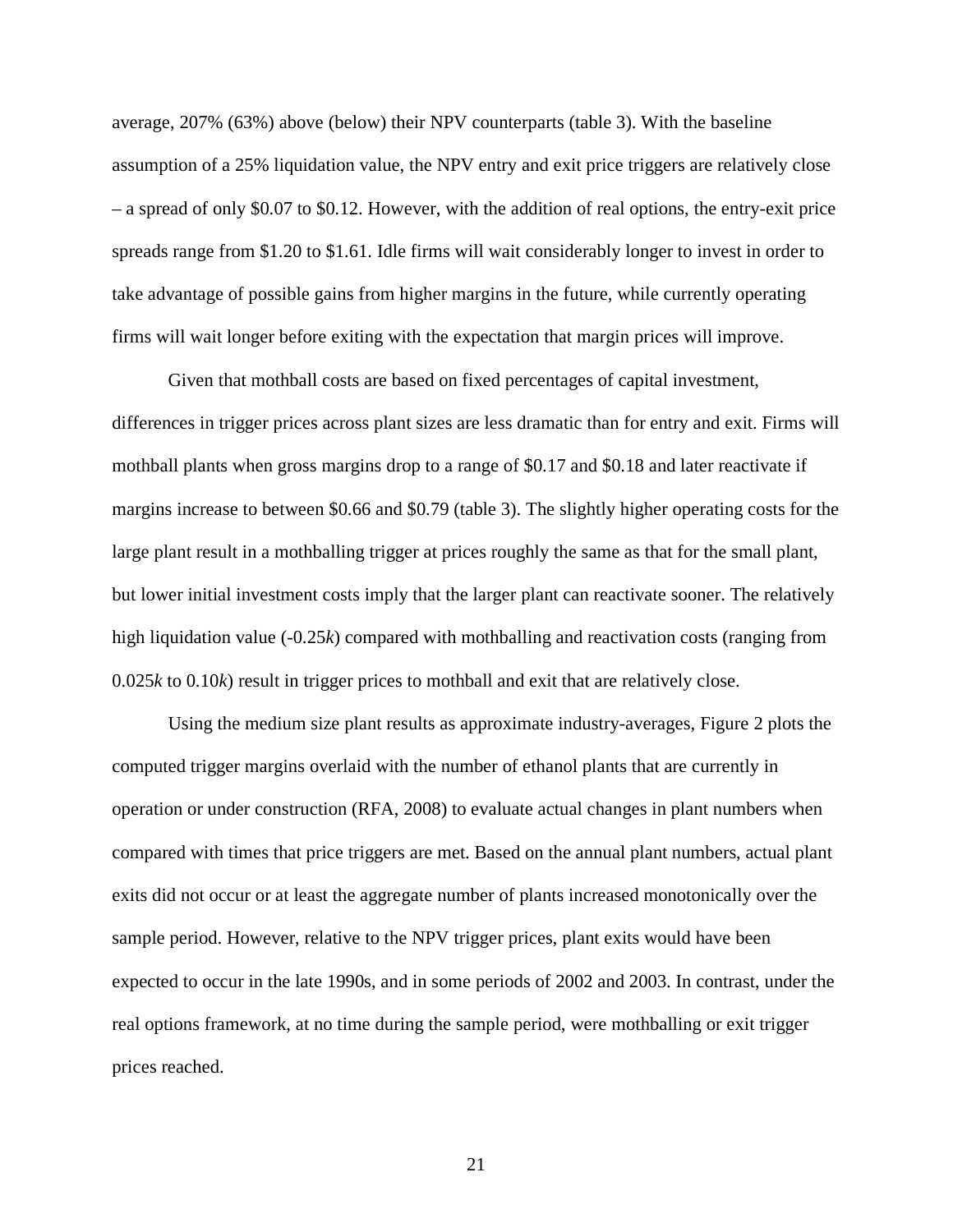average, 207% (63%) above (below) their NPV counterparts (table 3). With the baseline assumption of a 25% liquidation value, the NPV entry and exit price triggers are relatively close – a spread of only \$0.07 to \$0.12. However, with the addition of real options, the entry-exit price spreads range from \$1.20 to \$1.61. Idle firms will wait considerably longer to invest in order to take advantage of possible gains from higher margins in the future, while currently operating firms will wait longer before exiting with the expectation that margin prices will improve.

Given that mothball costs are based on fixed percentages of capital investment, differences in trigger prices across plant sizes are less dramatic than for entry and exit. Firms will mothball plants when gross margins drop to a range of \$0.17 and \$0.18 and later reactivate if margins increase to between \$0.66 and \$0.79 (table 3). The slightly higher operating costs for the large plant result in a mothballing trigger at prices roughly the same as that for the small plant, but lower initial investment costs imply that the larger plant can reactivate sooner. The relatively high liquidation value (-0.25*k*) compared with mothballing and reactivation costs (ranging from 0.025*k* to 0.10*k*) result in trigger prices to mothball and exit that are relatively close.

Using the medium size plant results as approximate industry-averages, Figure 2 plots the computed trigger margins overlaid with the number of ethanol plants that are currently in operation or under construction (RFA, 2008) to evaluate actual changes in plant numbers when compared with times that price triggers are met. Based on the annual plant numbers, actual plant exits did not occur or at least the aggregate number of plants increased monotonically over the sample period. However, relative to the NPV trigger prices, plant exits would have been expected to occur in the late 1990s, and in some periods of 2002 and 2003. In contrast, under the real options framework, at no time during the sample period, were mothballing or exit trigger prices reached.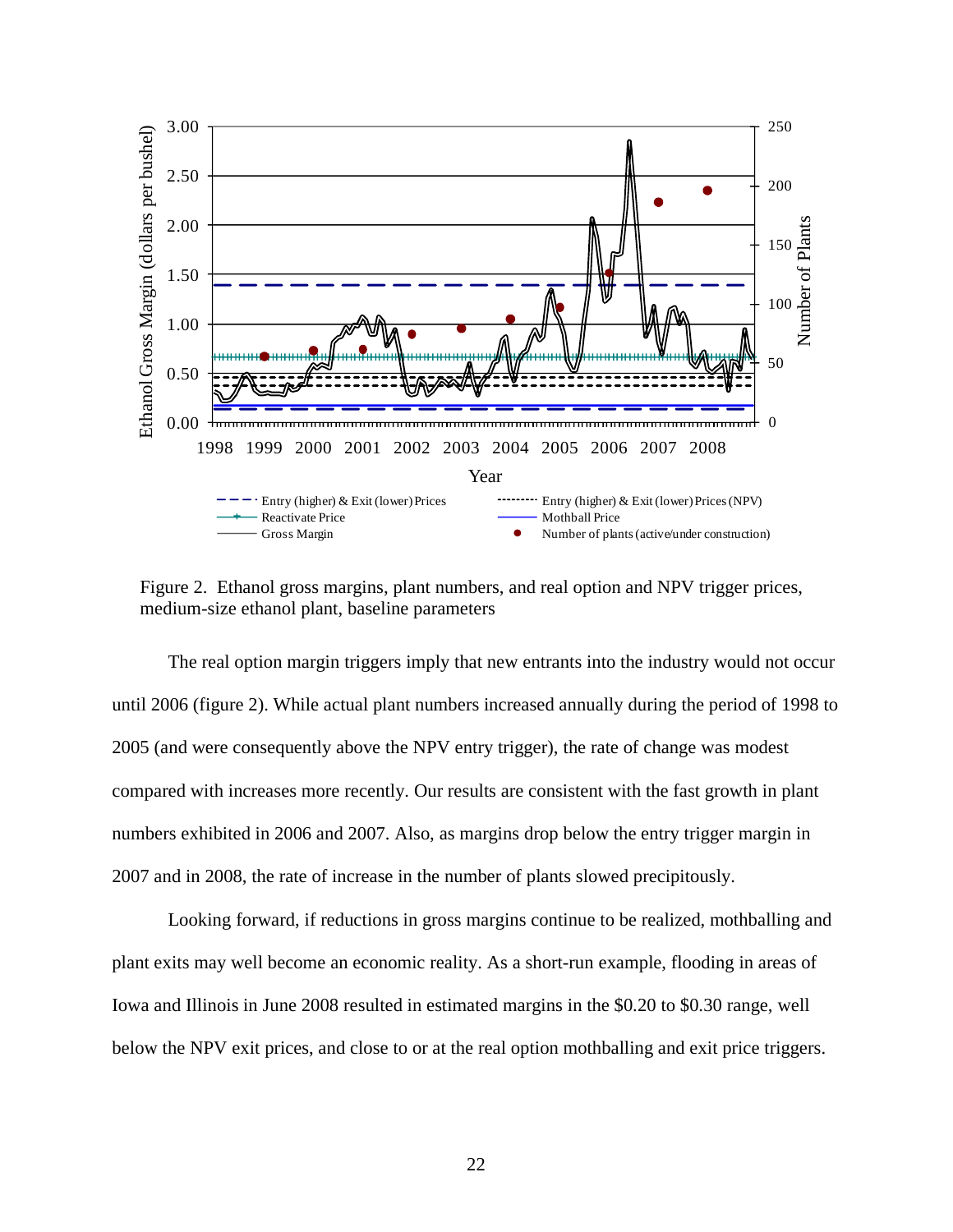

Figure 2. Ethanol gross margins, plant numbers, and real option and NPV trigger prices, medium-size ethanol plant, baseline parameters

The real option margin triggers imply that new entrants into the industry would not occur until 2006 (figure 2). While actual plant numbers increased annually during the period of 1998 to 2005 (and were consequently above the NPV entry trigger), the rate of change was modest compared with increases more recently. Our results are consistent with the fast growth in plant numbers exhibited in 2006 and 2007. Also, as margins drop below the entry trigger margin in 2007 and in 2008, the rate of increase in the number of plants slowed precipitously.

Looking forward, if reductions in gross margins continue to be realized, mothballing and plant exits may well become an economic reality. As a short-run example, flooding in areas of Iowa and Illinois in June 2008 resulted in estimated margins in the \$0.20 to \$0.30 range, well below the NPV exit prices, and close to or at the real option mothballing and exit price triggers.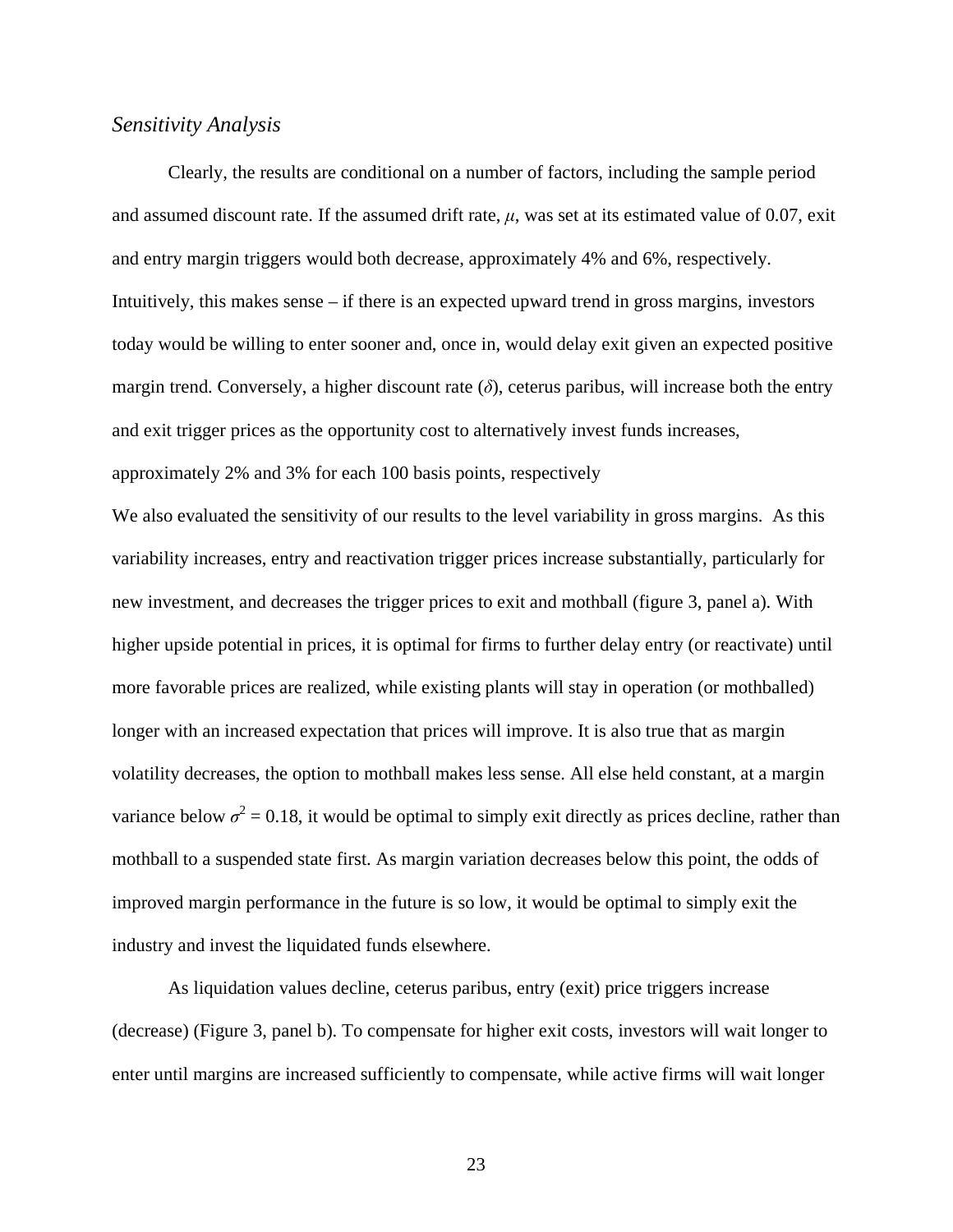### *Sensitivity Analysis*

Clearly, the results are conditional on a number of factors, including the sample period and assumed discount rate. If the assumed drift rate,  $\mu$ , was set at its estimated value of 0.07, exit and entry margin triggers would both decrease, approximately 4% and 6%, respectively. Intuitively, this makes sense – if there is an expected upward trend in gross margins, investors today would be willing to enter sooner and, once in, would delay exit given an expected positive margin trend. Conversely, a higher discount rate  $(\delta)$ , ceterus paribus, will increase both the entry and exit trigger prices as the opportunity cost to alternatively invest funds increases, approximately 2% and 3% for each 100 basis points, respectively

We also evaluated the sensitivity of our results to the level variability in gross margins. As this variability increases, entry and reactivation trigger prices increase substantially, particularly for new investment, and decreases the trigger prices to exit and mothball (figure 3, panel a). With higher upside potential in prices, it is optimal for firms to further delay entry (or reactivate) until more favorable prices are realized, while existing plants will stay in operation (or mothballed) longer with an increased expectation that prices will improve. It is also true that as margin volatility decreases, the option to mothball makes less sense. All else held constant, at a margin variance below  $\sigma^2 = 0.18$ , it would be optimal to simply exit directly as prices decline, rather than mothball to a suspended state first. As margin variation decreases below this point, the odds of improved margin performance in the future is so low, it would be optimal to simply exit the industry and invest the liquidated funds elsewhere.

As liquidation values decline, ceterus paribus, entry (exit) price triggers increase (decrease) (Figure 3, panel b). To compensate for higher exit costs, investors will wait longer to enter until margins are increased sufficiently to compensate, while active firms will wait longer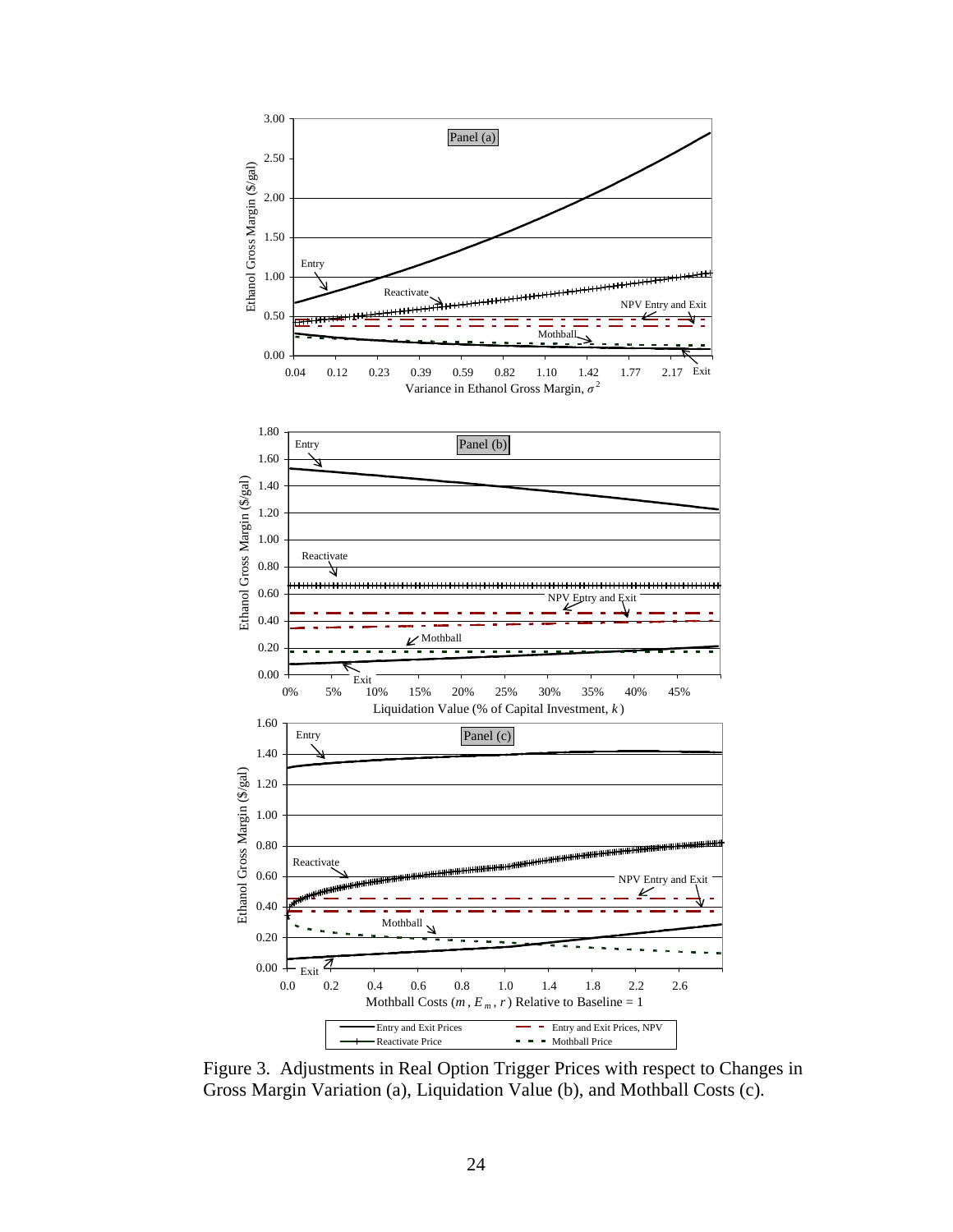

Figure 3. Adjustments in Real Option Trigger Prices with respect to Changes in Gross Margin Variation (a), Liquidation Value (b), and Mothball Costs (c).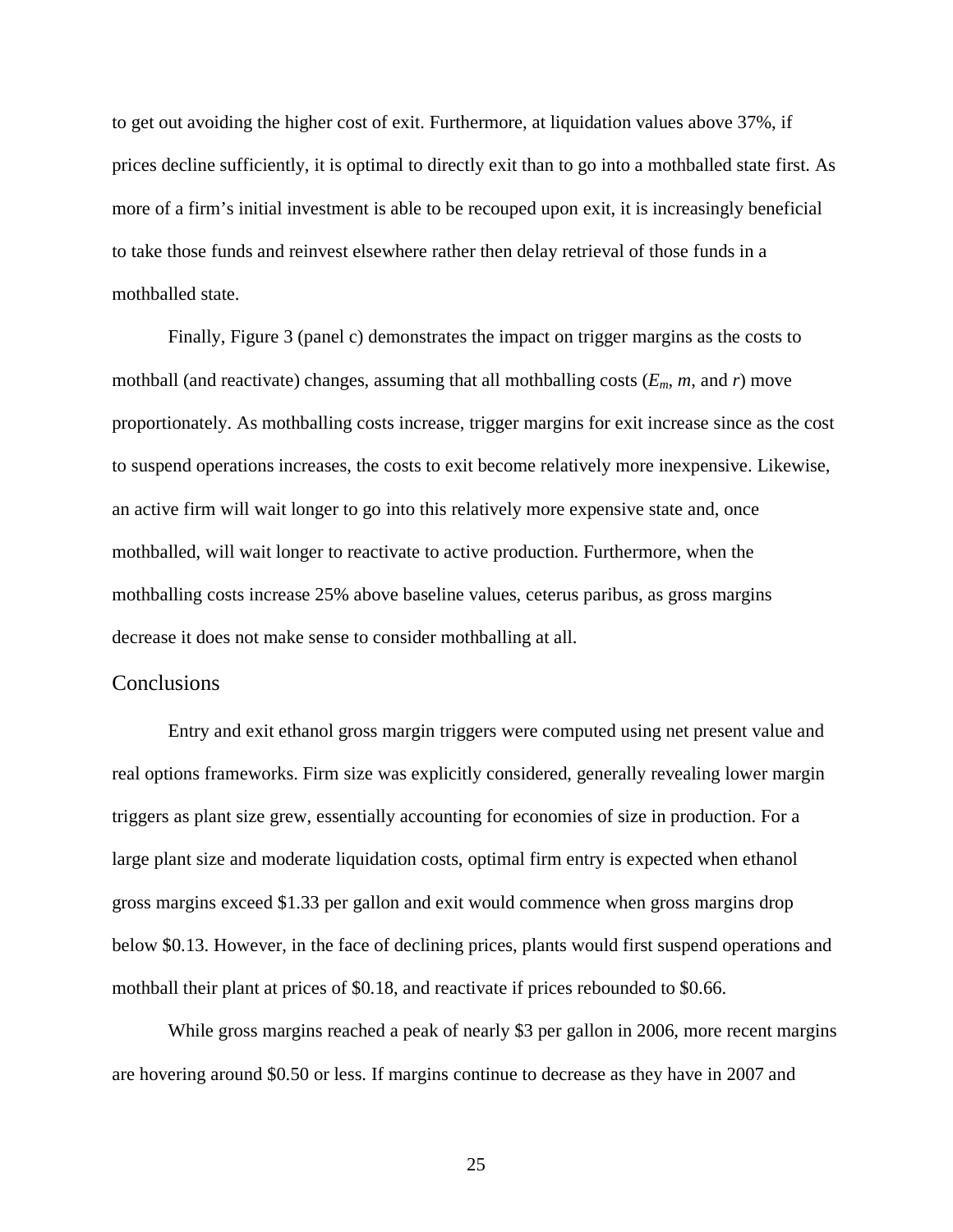to get out avoiding the higher cost of exit. Furthermore, at liquidation values above 37%, if prices decline sufficiently, it is optimal to directly exit than to go into a mothballed state first. As more of a firm's initial investment is able to be recouped upon exit, it is increasingly beneficial to take those funds and reinvest elsewhere rather then delay retrieval of those funds in a mothballed state.

Finally, Figure 3 (panel c) demonstrates the impact on trigger margins as the costs to mothball (and reactivate) changes, assuming that all mothballing costs  $(E_m, m, \text{ and } r)$  move proportionately. As mothballing costs increase, trigger margins for exit increase since as the cost to suspend operations increases, the costs to exit become relatively more inexpensive. Likewise, an active firm will wait longer to go into this relatively more expensive state and, once mothballed, will wait longer to reactivate to active production. Furthermore, when the mothballing costs increase 25% above baseline values, ceterus paribus, as gross margins decrease it does not make sense to consider mothballing at all.

#### **Conclusions**

Entry and exit ethanol gross margin triggers were computed using net present value and real options frameworks. Firm size was explicitly considered, generally revealing lower margin triggers as plant size grew, essentially accounting for economies of size in production. For a large plant size and moderate liquidation costs, optimal firm entry is expected when ethanol gross margins exceed \$1.33 per gallon and exit would commence when gross margins drop below \$0.13. However, in the face of declining prices, plants would first suspend operations and mothball their plant at prices of \$0.18, and reactivate if prices rebounded to \$0.66.

While gross margins reached a peak of nearly \$3 per gallon in 2006, more recent margins are hovering around \$0.50 or less. If margins continue to decrease as they have in 2007 and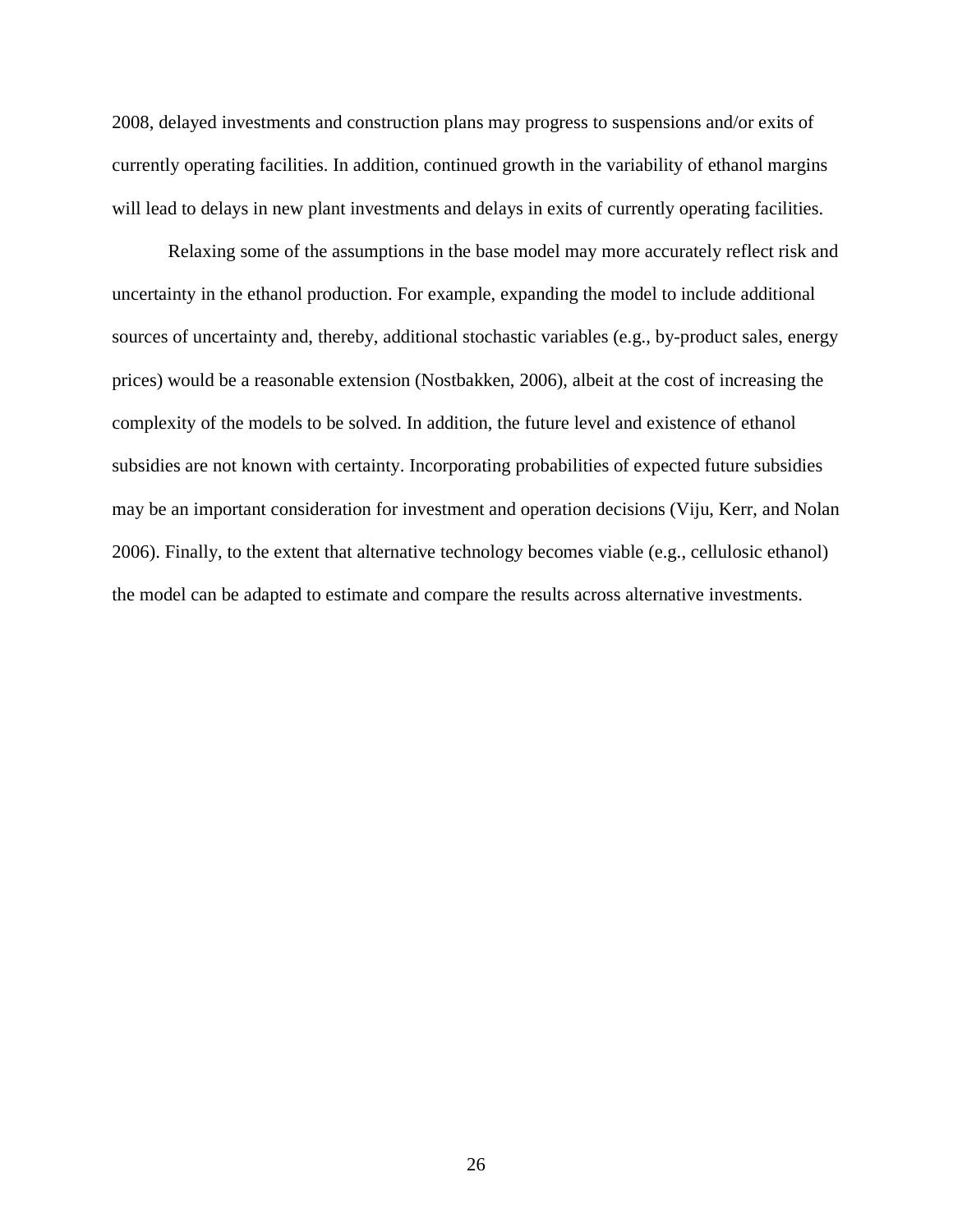2008, delayed investments and construction plans may progress to suspensions and/or exits of currently operating facilities. In addition, continued growth in the variability of ethanol margins will lead to delays in new plant investments and delays in exits of currently operating facilities.

Relaxing some of the assumptions in the base model may more accurately reflect risk and uncertainty in the ethanol production. For example, expanding the model to include additional sources of uncertainty and, thereby, additional stochastic variables (e.g., by-product sales, energy prices) would be a reasonable extension (Nostbakken, 2006), albeit at the cost of increasing the complexity of the models to be solved. In addition, the future level and existence of ethanol subsidies are not known with certainty. Incorporating probabilities of expected future subsidies may be an important consideration for investment and operation decisions (Viju, Kerr, and Nolan 2006). Finally, to the extent that alternative technology becomes viable (e.g., cellulosic ethanol) the model can be adapted to estimate and compare the results across alternative investments.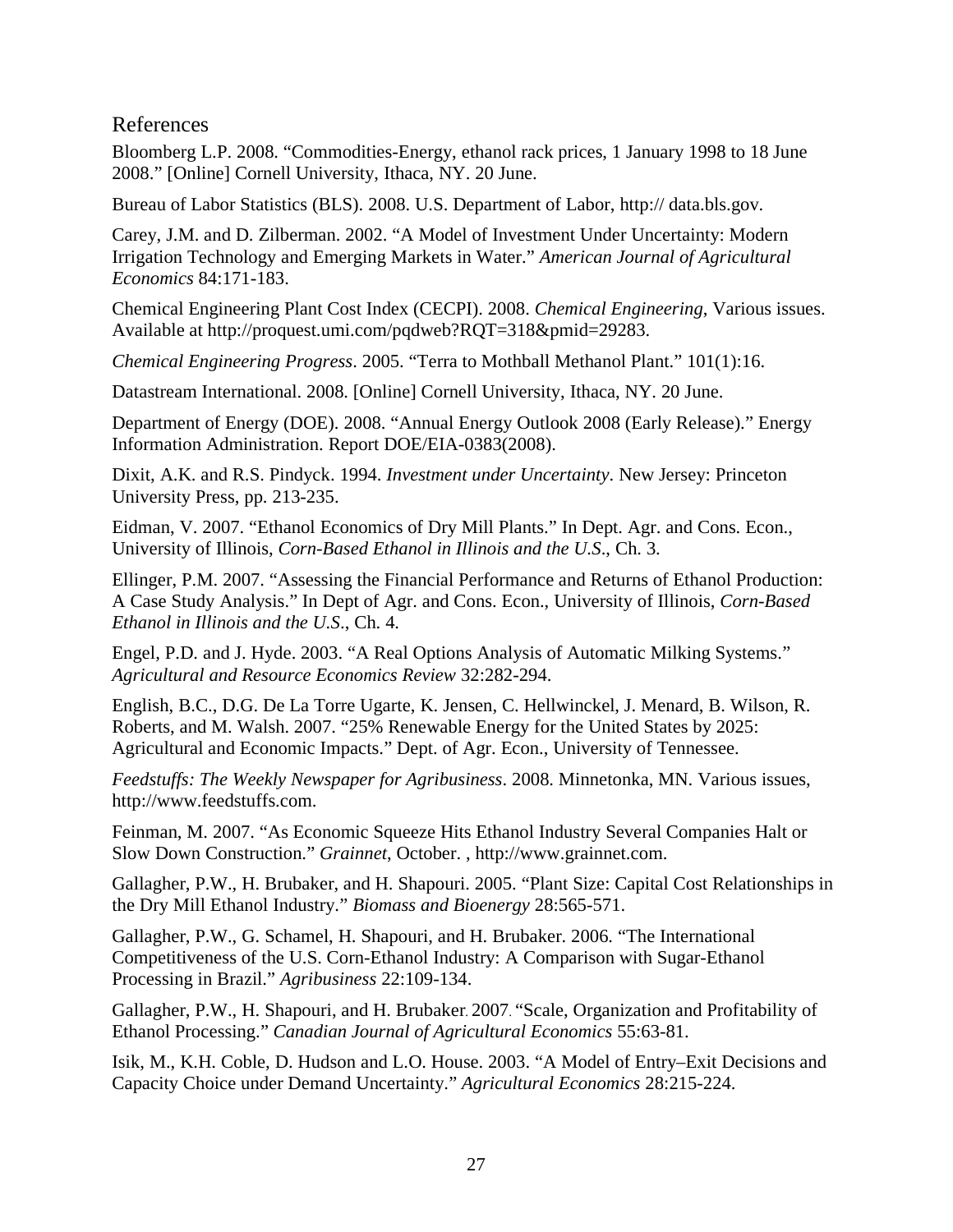# References

Bloomberg L.P. 2008. "Commodities-Energy, ethanol rack prices, 1 January 1998 to 18 June 2008." [Online] Cornell University, Ithaca, NY. 20 June.

Bureau of Labor Statistics (BLS). 2008. U.S. Department of Labor, http:// data.bls.gov.

Carey, J.M. and D. Zilberman. 2002. "A Model of Investment Under Uncertainty: Modern Irrigation Technology and Emerging Markets in Water." *American Journal of Agricultural Economics* 84:171-183.

Chemical Engineering Plant Cost Index (CECPI). 2008. *Chemical Engineering*, Various issues. Available at http://proquest.umi.com/pqdweb?RQT=318&pmid=29283.

*Chemical Engineering Progress*. 2005. "Terra to Mothball Methanol Plant." 101(1):16.

Datastream International. 2008. [Online] Cornell University, Ithaca, NY. 20 June.

Department of Energy (DOE). 2008. "Annual Energy Outlook 2008 (Early Release)." Energy Information Administration. Report DOE/EIA-0383(2008).

Dixit, A.K. and R.S. Pindyck. 1994. *Investment under Uncertainty*. New Jersey: Princeton University Press, pp. 213-235.

Eidman, V. 2007. "Ethanol Economics of Dry Mill Plants." In Dept. Agr. and Cons. Econ., University of Illinois, *Corn-Based Ethanol in Illinois and the U.S*., Ch. 3.

Ellinger, P.M. 2007. "Assessing the Financial Performance and Returns of Ethanol Production: A Case Study Analysis." In Dept of Agr. and Cons. Econ., University of Illinois, *Corn-Based Ethanol in Illinois and the U.S*., Ch. 4.

Engel, P.D. and J. Hyde. 2003. "A Real Options Analysis of Automatic Milking Systems." *Agricultural and Resource Economics Review* 32:282-294.

English, B.C., D.G. De La Torre Ugarte, K. Jensen, C. Hellwinckel, J. Menard, B. Wilson, R. Roberts, and M. Walsh. 2007. "25% Renewable Energy for the United States by 2025: Agricultural and Economic Impacts." Dept. of Agr. Econ., University of Tennessee.

*Feedstuffs: The Weekly Newspaper for Agribusiness*. 2008. Minnetonka, MN. Various issues, http://www.feedstuffs.com.

Feinman, M. 2007. "As Economic Squeeze Hits Ethanol Industry Several Companies Halt or Slow Down Construction." *Grainnet*, October. , http://www.grainnet.com.

Gallagher, P.W., H. Brubaker, and H. Shapouri. 2005. "Plant Size: Capital Cost Relationships in the Dry Mill Ethanol Industry." *Biomass and Bioenergy* 28:565-571.

Gallagher, P.W., G. Schamel, H. Shapouri, and H. Brubaker. 2006. "The International Competitiveness of the U.S. Corn-Ethanol Industry: A Comparison with Sugar-Ethanol Processing in Brazil." *Agribusiness* 22:109-134.

Gallagher, P.W., H. Shapouri, and H. Brubaker. 2007. "Scale, Organization and Profitability of Ethanol Processing." *Canadian Journal of Agricultural Economics* 55:63-81.

Isik, M., K.H. Coble, D. Hudson and L.O. House. 2003. "A Model of Entry–Exit Decisions and Capacity Choice under Demand Uncertainty." *Agricultural Economics* 28:215-224.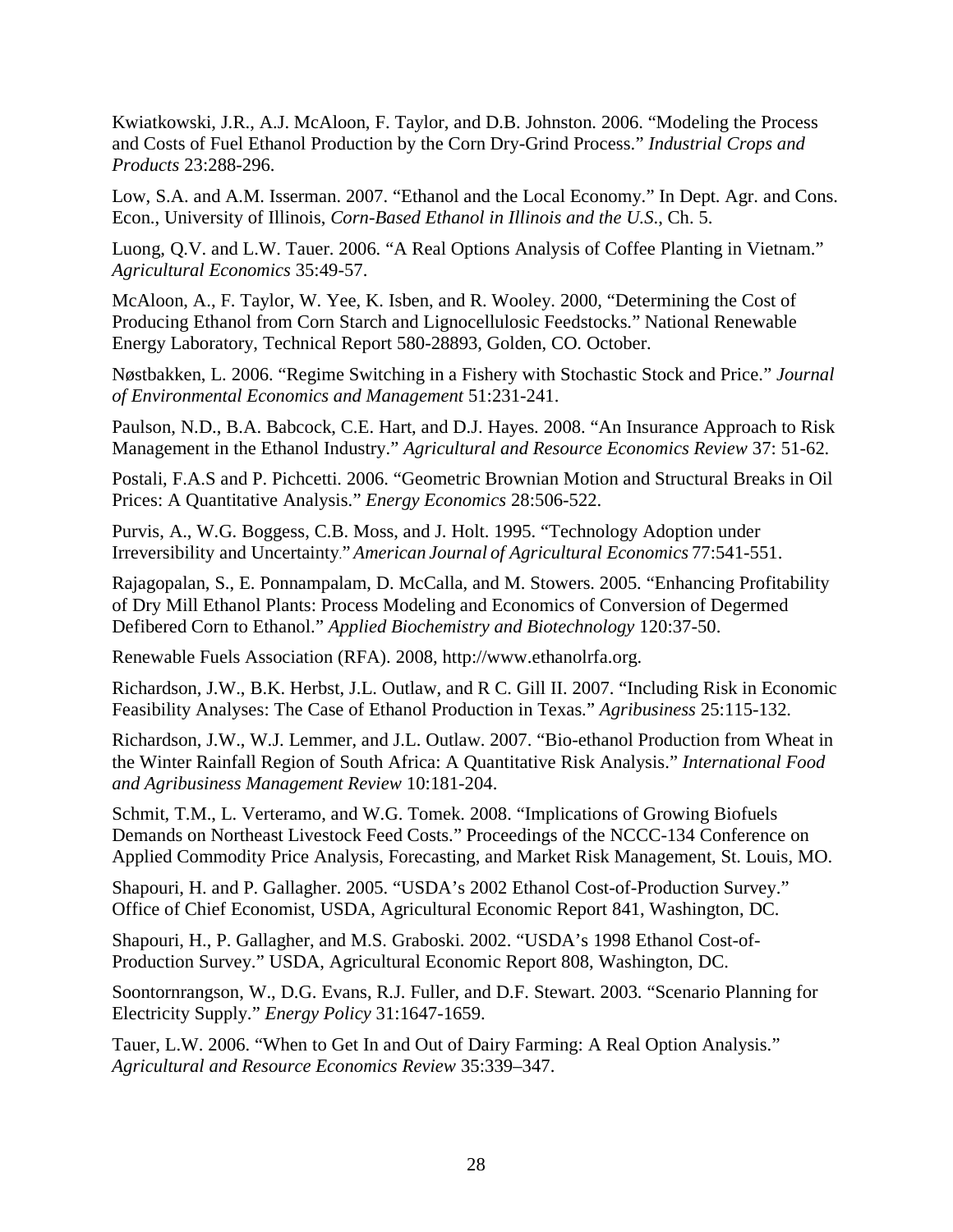Kwiatkowski, J.R., A.J. McAloon, F. Taylor, and D.B. Johnston. 2006. "Modeling the Process and Costs of Fuel Ethanol Production by the Corn Dry-Grind Process." *Industrial Crops and Products* 23:288-296.

Low, S.A. and A.M. Isserman. 2007. "Ethanol and the Local Economy." In Dept. Agr. and Cons. Econ., University of Illinois, *Corn-Based Ethanol in Illinois and the U.S*., Ch. 5.

Luong, Q.V. and L.W. Tauer. 2006. "A Real Options Analysis of Coffee Planting in Vietnam." *Agricultural Economics* 35:49-57.

McAloon, A., F. Taylor, W. Yee, K. Isben, and R. Wooley. 2000, "Determining the Cost of Producing Ethanol from Corn Starch and Lignocellulosic Feedstocks." National Renewable Energy Laboratory, Technical Report 580-28893, Golden, CO. October.

Nøstbakken, L. 2006. "Regime Switching in a Fishery with Stochastic Stock and Price." *Journal of Environmental Economics and Management* 51:231-241.

Paulson, N.D., B.A. Babcock, C.E. Hart, and D.J. Hayes. 2008. "An Insurance Approach to Risk Management in the Ethanol Industry." *Agricultural and Resource Economics Review* 37: 51-62.

Postali, F.A.S and P. Pichcetti. 2006. "Geometric Brownian Motion and Structural Breaks in Oil Prices: A Quantitative Analysis." *Energy Economics* 28:506-522.

Purvis, A., W.G. Boggess, C.B. Moss, and J. Holt. 1995. "Technology Adoption under Irreversibility and Uncertainty." *American Journal of Agricultural Economics* 77:541-551.

Rajagopalan, S., E. Ponnampalam, D. McCalla, and M. Stowers. 2005. "Enhancing Profitability of Dry Mill Ethanol Plants: Process Modeling and Economics of Conversion of Degermed Defibered Corn to Ethanol." *Applied Biochemistry and Biotechnology* 120:37-50.

Renewable Fuels Association (RFA). 2008, http://www.ethanolrfa.org.

Richardson, J.W., B.K. Herbst, J.L. Outlaw, and R C. Gill II. 2007. "Including Risk in Economic Feasibility Analyses: The Case of Ethanol Production in Texas." *Agribusiness* 25:115-132.

Richardson, J.W., W.J. Lemmer, and J.L. Outlaw. 2007. "Bio-ethanol Production from Wheat in the Winter Rainfall Region of South Africa: A Quantitative Risk Analysis." *International Food and Agribusiness Management Review* 10:181-204.

Schmit, T.M., L. Verteramo, and W.G. Tomek. 2008. "Implications of Growing Biofuels Demands on Northeast Livestock Feed Costs." Proceedings of the NCCC-134 Conference on Applied Commodity Price Analysis, Forecasting, and Market Risk Management, St. Louis, MO.

Shapouri, H. and P. Gallagher. 2005. "USDA's 2002 Ethanol Cost-of-Production Survey." Office of Chief Economist, USDA, Agricultural Economic Report 841, Washington, DC.

Shapouri, H., P. Gallagher, and M.S. Graboski. 2002. "USDA's 1998 Ethanol Cost-of-Production Survey." USDA, Agricultural Economic Report 808, Washington, DC.

Soontornrangson, W., D.G. Evans, R.J. Fuller, and D.F. Stewart. 2003. "Scenario Planning for Electricity Supply." *Energy Policy* 31:1647-1659.

Tauer, L.W. 2006. "When to Get In and Out of Dairy Farming: A Real Option Analysis." *Agricultural and Resource Economics Review* 35:339–347.